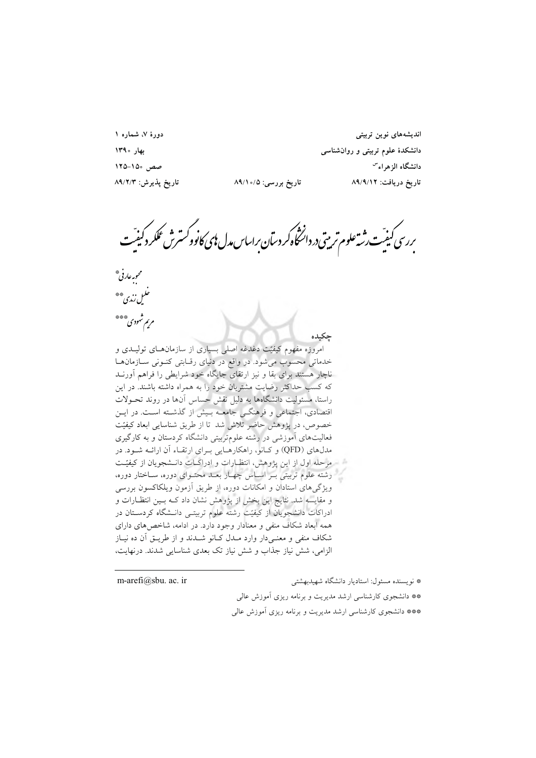دورهٔ ۷، شماره ۱

.<br>ندیشههای نوین تر **%&' \$ "# ! ()\* + -. , 1/0/'** تاريخ دريافت: ٨٩/٩/١٢ تاريخ بررسي: ٨٩/١٥/٥ تاريخ پذيرش: ٨٩/٢/٣

بررسی کیفیّت رثته علوم تربیتی در دانشخاه کر دسآن براساس مدل **ن**ای کانوو کسترش عمکر دکیفیّت<br>. י<br>,<br>,

5 لحبوبه *عارف*ي \*\*<br>• • • *ملين زندي*\*\* مرىم شهودى\*\*\*\*

مروزه مفهوم کیفیّت دغدغه اصلی بسیاری از سازمانهــای تولیــدی و خدماتی محسوب می شود. در واقع در دنیای رقبابتی کنونی سازمان ها ناچار هستند برای بقا و نیز ارتقای جایگاه خود شرایطی را فراهم أورنــد که کسب حداکثر رضایت مشتریان خود را به همراه داشته باشند. در این راستا، مسئولیت دانشگاهها به دلیل نقش حساس آنها در روند تحـولات قتصادی، اجتماعی و فرهنگــی جامعــه بــیش از گذشــته اســت. در ایــن خصوص، در پژوهش حاضر تلاش شد تا از طریق شناسایی ابعاد کیفیّت فعالیتهای اَموزشی در رشته علومتربیتی دانشگاه کردستان و به کارگیری مدلهای (QFD) و کـانو، راهکارهـایی بـرای ارتقـاء أن ارائــه شــود. در مرحله اول از این پژوهش، انتظـارات و ادراکــات دانــشجویان از کیفیّــت رشته علوم تربیتی بــر اســاس چهــار بعــد محتــوای دوره، ســاختار دوره، ویژگیهای استادان و امکانات دوره، از طریق آزمون ویلکاکسون بررسی و مقايسه شد. نتايج اين بخش از پژوهش نشان داد كــه بــين انتظــارات و دراکات دانشجویان از کیفیّت رشته علوم تربیتــی دانــشگاه کردســتان در همه ابعاد شکاف منفی و معنادار وجود دارد. در ادامه، شاخصهای دارای شکاف منفی و معنــیدار وارد مــدل کــانو شــدند و از طریــق اَن ده نیــاز الزامي، شش نياز جذاب و شش نياز تک بعدي شناسايي شدند. درنهايت،

\* نويسنده مسئول: استاديار دانشگاه شهيدبهشتي ir .ac .sbu@arefi-m \*\* دانشجوي كارشناسي ارشد مديريت و برنامه ريزي آموزش عالي \*\*\* دانشجوي كارشناسي ارشد مديريت و برنامه ريزي آموزش عالي

 **=>**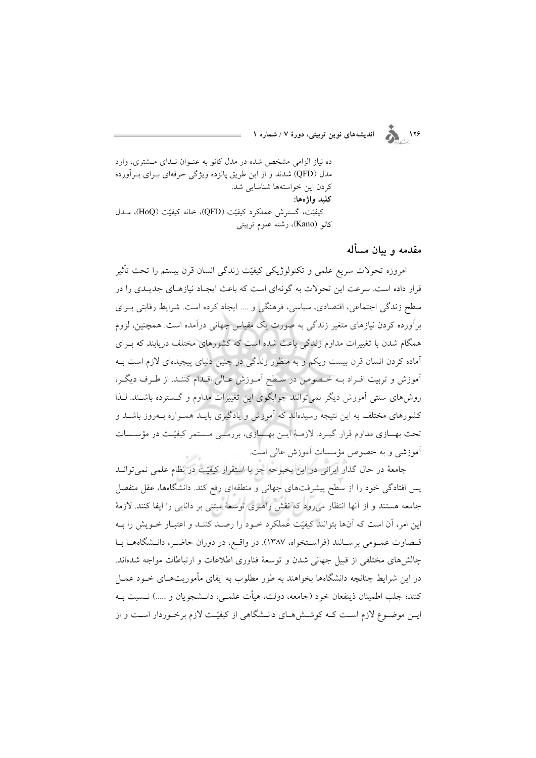اندیشههای نوین تربیتی، دورهٔ ۷ / شماره ۱

ده نیاز الزامی مشخص شده در مدل کانو به عنوان نـدای مـشتری، وارد مدل (QFD) شدند و از این طریق پانزده ویژگی حرفهای بــرای بــرآورده كردن اين خواستهها شناسايي شد. کليد واژەها: كيفيّت، گسترش عملكرد كيفيّت (QFD)، خانه كيفيّت (HoQ)، مــدل كانو (Kano)، رشته علوم تربيتي

مقدمه و سان مسأله

 $\sum_{i=1}^{n}$ 

امروزه تحولات سريع علمي و تكنولوژيكي كيفيّت زندگي انسان قرن بيستم را تحت تأثير قرار داده است. سرعت این تحولات به گونهای است که باعث ایجـاد نیازهـای جدیـدی را در سطح زندگی اجتماعی، اقتصادی، سیاسی، فرهنگی و …. ایجاد کرده است. شرایط رقابتی بـرای برآورده کردن نیازهای متغیر زندگی به صورت یک مقیاس جهانی درآمده است. همچنین، لزوم همگام شدن با تغییرات مداوم زندگی باعث شده است که کشورهای مختلف دریابند که بـرای آماده کردن انسان قرن بیست ویکم و به منظور زندگی در چنین دنیای پیچیدهای لازم است بـه آموزش و تربیت افـراد بـه خـصوص در سـطح آمـوزش عـالی اقـدام کننـد. از طـرف دیگـر، روشهای سنتی اَموزش دیگر نمیٍتوانند جوابگوی این تغییرات مداوم و گـسترده باشـند. لـذا کشورهای مختلف به این نتیجه رسیدهاند که آموزش و یادگیری بایــد همــواره بــهروز باشــد و تحت بهسازی مداوم قرار گیـرد. لازمـهٔ ایـن بهـسازی، بررسـی مـستمر کیفیّـت در مؤسـسات آموزشی و به خصوص مؤسسات آموزش عالی است.

جامعهٔ در حال گذار ایرانی در این بحبوحه جز با استقرار کیفیّت در نظام علمی نمیتوانــد یس افتادگی خود را از سطح پیشرفتهای جهانی و منطقهای رفع کند. دانشگاهها، عقل منفصل جامعه هستند و از آنها انتظار میرود که نقش راهبری توسعهٔ مبتنی بر دانایی را ایفا کنند. لازمهٔ این امر، آن است که آنها بتوانند کیفیّت عملکرد خـود را رصـد کننـد و اعتبـار خـویش را بـه قـضاوت عمـومي برسـانند (فراسـتخواه، ١٣٨٧). در واقـع، در دوران حاضـر، دانـشگاههـا بـا چالش های مختلفی از قبیل جهانی شدن و توسعهٔ فناوری اطلاعات و ارتباطات مواجه شدهاند. در این شرایط چنانچه دانشگاهها بخواهند به طور مطلوب به ایفای مأموریتهـای خــود عمــل كنند؛ جلب اطمينان ذينفعان خود (جامعه، دولت، هيأت علمـي، دانــشجويان و .....) نــسبت بــه ایـن موضـوع لازم اسـت کـه کوشـش۵ـای دانـشگاهی از کیفیّـت لازم برخـوردار اسـت و از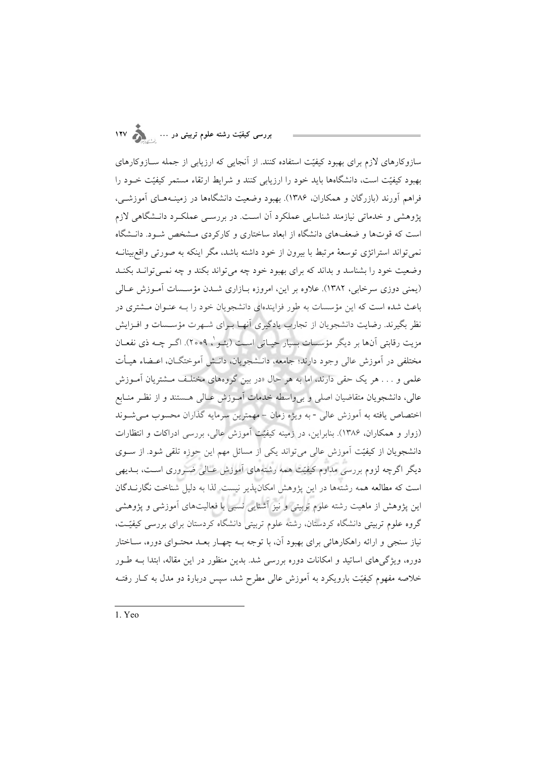## بررسی کیفیّت رشته علوم تربیتی در … <sub>وس</sub>ر ۱۲۷

سازوکارهای لازم برای بهبود کیفیّت استفاده کنند. از آنجایی که ارزیابی از جمله ســازوکارهای بهبود کیفیّت است، دانشگاهها باید خود را ارزیابی کنند و شرایط ارتقاء مستمر کیفیّت خــود را فراهم آورند (بازرگان و همکاران، ۱۳۸۶). بهبود وضعیت دانشگاهها در زمینـههـای آموزشـی، یژوهشی و خدماتی نیازمند شناسایی عملکرد آن است. در بررسبی عملک د دانـشگاهی لازم است که قوتها و ضعفهای دانشگاه از ابعاد ساختاری و کارکردی مـشخص شـود. دانــشگاه نمي تواند استراتژي توسعهٔ مرتبط با بيرون از خود داشته باشد، مگر اينکه به صورتي واقع بينانــه وضعیت خود را بشناسد و بداند که برای بهبود خود چه می تواند بکند و چه نمـی توانـد بکنـد (یمنی دوزی سرخابی، ۱۳۸۲). علاوه بر این، امروزه بازاری شـدن مؤسـسات آمـوزش عـالی باعث شده است که این مؤسسات به طور فزایندهای دانشجویان خود را بـه عنـوان مـشتری در نظر بگیرند. رضایت دانشجویان از تجارب یادگیری آنهـا بـرای شـهرت مؤســسات و افــزایش مزيت رقابتي أنها بر ديگر مؤسسات بسيار حيـاتي اسـت (يئـو`، ٢٥٥٩). اگـر چــه ذي نفعــان مختلفی در آموزش عالی وجود دارند؛ جامعه، دانـشجویان، دانـش آموختگــان، اعــضاء هیــأت علمی و . . . هر یک حقی دارند، اما به هر حال «در بین گروههای مختلف مشتریان آمـوزش عالی، دانشجویان متقاضیان اصلی و بیeاسطه خدمات آمـوزش عـالی هـستند و از نظـر منــابع اختصاص یافته به آموزش عالی -به ویژه زمان – مهمترین سرمایه گذاران محسوب مـیشـوند (زوار و همکاران، ۱۳۸۶). بنابراین، در زمینه کیفیّت آموزش عالی، بررسی ادراکات و انتظارات دانشجویان از کیفیّت آموزش عالی می تواند یکی از مسائل مهم این حوزه تلقی شود. از سـوی دیگر اگرچه لزوم بررسی مداوم کیفیّت همه رشتههای آموزش عـالی ضـروری اسـت، بــدیهی است که مطالعه همه رشتهها در این پژوهش امکانپذیر نیست. لذا به دلیل شناخت نگارنــدگان این پژوهش از ماهیت رشته علوم تربیتی و نیز آشنایی نسبی با فعالیتهای آموزشی و پژوهشی گروه علوم تربیتی دانشگاه کردستان، رشته علوم تربیتی دانشگاه کردستان برای بررسی کیفیّت، نیاز سنجی و ارائه راهکارهائی برای بهبود آن، با توجه بـه چهـار بعـد محتـوای دوره، سـاختار دوره، ویژگیهای اساتید و امکانات دوره بررسی شد. بدین منظور در این مقاله، ابتدا بـه طـور خلاصه مفهوم کیفیّت بارویکرد به آموزش عالمی مطرح شد، سیس دربارهٔ دو مدل به کـار رفتــه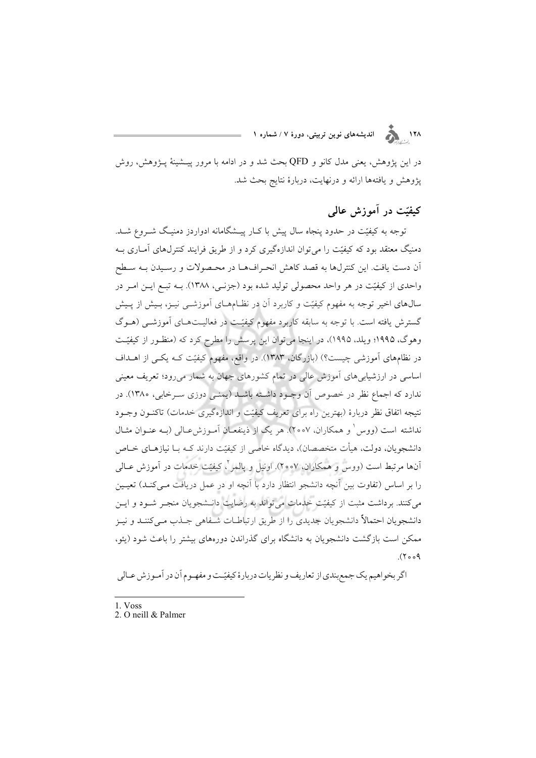۱۲۸<br>۱۲۸ هـ د کلمون اندیشههای نوین تربیتی، دورهٔ ۷ / شماره ۱

در این پژوهش، یعنی مدل کانو و QFD بحث شد و در ادامه با مرور پیــشینهٔ پــژوهش، روش پژوهش و یافتهها ارائه و درنهایت، دربارهٔ نتایج بحث شد.

### کیفیّت در آموزش عالمی

توجه به کیفیّت در حدود پنجاه سال پیش با کـار پیــشگامانه ادواردز دمنیـگ شــروع شــد. دمنیگ معتقد بود که کیفیّت را می توان اندازهگیری کرد و از طریق فرایند کنترلهای آمـاری بـه آن دست یافت. این کنترلها به قصد کاهش انحـرافهـا در محـصولات و رسـیدن بـه سـطح واحدی از کیفیّت در هر واحد محصولی تولید شده بود (جزنـبی، ۱۳۸۸). بــه تبــع ایــن امــر در سالهای اخیر توجه به مفهوم کیفیّت و کاربرد آن در نظـامهـای آموزشــی نیــز، بـیش از پــیش گسترش یافته است. با توجه به سابقه کاربرد مفهوم کیفیّت در فعالیـتهـای آموزشــی (هــوگ وهوگ، ۱۹۹۵؛ ویلد، ۱۹۹۵)، در اینجا میٍتوان این پرسش را مطرح کرد که (منظـور از کیفیّـت در نظامهای آموزشی چیست؟) (بازرگان، ۱۳۸۳). در واقع، مفهوم کیفیّت کـه یکـی از اهــداف اساسی در ارزشیابی های آموزش عالی در تمام کشورهای جهان به شمار میرود؛ تعریف معینی ندارد که اجماع نظر در خصوص آن وجـود داشــته باشــد (یمنــی دوزی ســرخابی، ۱۳۸۰). در نتيجه اتفاق نظر دربارة (بهترين راه براى تعريف كيفيّت و اندازهگيرى خدمات) تاكنـون وجـود نداشته است (ووس ٰ و همکاران، ۲۰۰۷). هر یک از ذینفعـانِ آمـوزشءـالی (بــه عنــوان مثــال دانشجویان، دولت، هیأت متخصصان)، دیدگاه خاصی از کیفیّت دارند کـه بـا نیازهـای خـاص آنها مرتبط است (ووس و همکاران، ۲۰۰۷). اونیل و پالمبر<sup>ن</sup>، کیفیّت خدمات در آموزش عــالمی را بر اساس (تفاوت بین آنچه دانشجو انتظار دارد با آنچه او در عمل دریافت مـیکنـد) تعیـین می کنند. برداشت مثبت از کیفیّت خدمات می تواند به رضایت دانـشجویان منجـر شـود و ایـن دانشجویان احتمالاً دانشجویان جدیدی را از طریق ارتباطـات شـفاهی جـذب مـی کننـد و نیـز ممکن است بازگشت دانشجویان به دانشگاه برای گذراندن دورههای بیشتر را باعث شود (یئو،  $(5009)$ 

اگر بخواهیم یک جمع بندی از تعاریف و نظریات دربارهٔ کیفیّـت و مفهـوم آن در آمـوزش عـالی

- 1. Voss
- 2. O neill & Palmer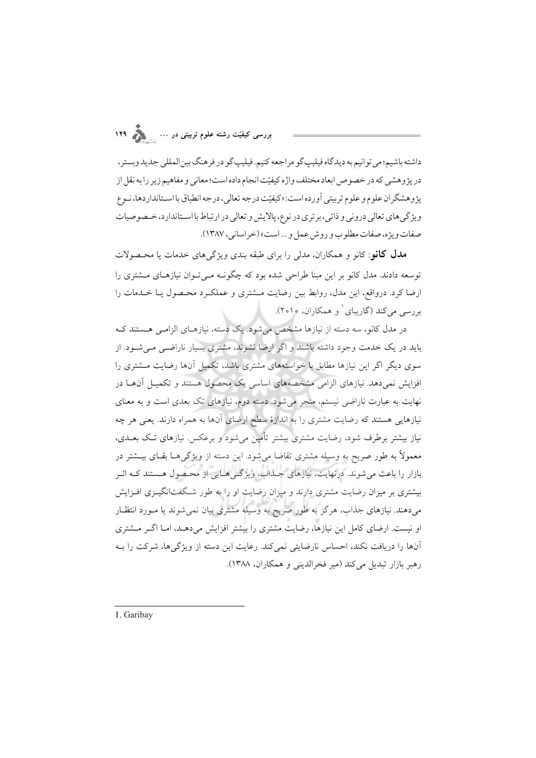داشته باشيم؛ مي تو انيم به ديدگاه فيليپ گو مر اجعه كنيم. فيليپ گو در فر هنگ بين المللي جديد ويستر ، در پژوهشي كه در خصوص ابعاد مختلف واژه كيفيّت انجام داده است؛ معاني و مفاهيم زير را به نقل از يژ و هشگر ان علوم و علوم تربيتي آورده است: «كيفيّت درجه تعال<sub>ي</sub>، درجه انطباق با اسـتانداردها، نـوع ويژ گې هاي تعالي درونې و ذاتې، بر ترې در نوع، پالايش و تعالي در ارتباط با اسـتاندارد، خـصوصيات صفات ويژه، صفات مطلو ب و روش عمل و …است» (خراساني، ١٣٨٧).

**مدل کانو**: کانو و همکاران، مدلی را برای طبقه بندی ویژگ<sub>ه </sub>های خدمات یا محـصولات توسعه دادند. مدل کانو بر این مبنا طراحی شده بود که چگونــه مــی تــوان نیازهــای مــشتری را ارضا کرد. درواقع، این مدل، روابط بین رضایت مـشتری و عملکـرد محـصول یـا خــدمات را بررسی می کند (گاریبای و همکاران، ۲۰۱۰).

در مدل کانو، سه دسته از نیازها مشخص می شود. یک دسته، نیازهـای الزامـی هـستند کـه باید در یک خدمت وجود داشته باشند و اگر ارضا نشوند، مشتری بسیار ناراضـی مـیشـود. از سوی دیگر اگر این نیازها مطابق با خواستههای مشتری باشد، تکمیل آنها رضایت مشتری را افزایش نمیدهد. نیازهای الزامی مشخصههای اساسی یک محصول هستند و تکمیـل آنهـا در نهایت به عبارت ناراضی نیستم، منجر می شود. دسته دوم، نیازهای تک بعدی است و به معنای نیازهایی هستند که رضایت مشتری را به اندازهٔ سطح ارضای آنها به همراه دارند. یعنی هر چه نیاز بیشتر برطرف شود، رضایت مشتری بیشتر تأمین می شود و برعکس. نیازهای تـک بعــدی، معمولاً به طور صریح به وسیله مشتری تقاضا میشود. این دسته از ویژگیهـا بقـای بیــشتر در بازار را باعث می شوند. درنهایت، نیازهای جـذاب، ویژگـی۵عـایی از محـصول هـستند کـه اثـر بیشتری بر میزان رضایت مشتری دارند و میزان رضایت او را به طور شـگفتانگیــزی افــزایش میدهند. نیازهای جذاب، هرگز به طور صریح به وسیله مشتری بیان نمیشوند یا مـورد انتظـار او نیست. ارضای کامل این نیازها، رضایت مشتری را بیشتر افزایش میدهـد، امـا اگـر مـشتری آنها را دریافت نکند، احساس نارضایتی نمی کند. رعایت این دسته از ویژگیها، شرکت را بـه رهبر بازار تبديل مي كند (مير فخرالديني و همكاران، ١٣٨٨).

1. Garibay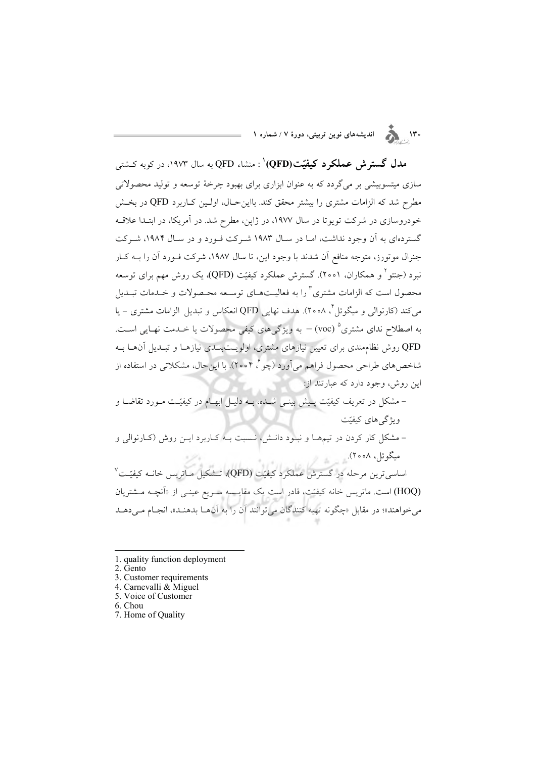.<br>۱۳۰ هـ حسم اندیشههای نوین تربیتی، دورهٔ ۷ / شماره ۱

مدل گسترش عملکرد کیفیّت(QFD)' : منشاء QFD به سال ۱۹۷۳، در کوبه کــشتی سازی میتسوبیشی بر میگردد که به عنوان ابزاری برای بهبود چرخهٔ توسعه و تولید محصولاتی مطرح شد که الزامات مشتری را بیشتر محقق کند. بااین حـال، اولـین کـاربرد QFD در بخـش خودروسازی در شرکت تویوتا در سال ۱۹۷۷، در ژاپن، مطرح شد. در آمریکا، در ابتـدا علاقـه گستردهای به آن وجود نداشت، امـا در سـال ۱۹۸۳ شـرکت فـورد و در سـال ۱۹۸۴، شـرکت جنرال موتورز، متوجه منافع آن شدند با وجود این، تا سال ۱۹۸۷، شرکت فـورد آن را بــه کــار نبرد (جنتو <sup>۱</sup> و همکاران، ۲۰۰۱). گسترش عملکرد کیفیّت (QFD)، یک روش مهم برای توسعه محصول است که الزامات مشتری <sup>۳</sup> را به فعالیــتهــای توســعه محــصولات و خــدمات تبــدیل مي كند (كارنوالي و ميگوئل ً، ٢٥٥٨). هدف نهايي QFD انعكاس و تبديل الزامات مشتري – يا به اصطلاح ندای مشتری° (voc) – به ویژگی های کیفی محصولات یا خــدمت نهـایی اســت. QFD روش نظام مندی برای تعیین نیازهای مشتری، اولویـتبنـدی نیازهـا و تبـدیل آنهـا بـه شاخص های طراحی محصول فراهم می آورد (چو $\mathring{\mathfrak{e}}$ ۲۰۰۴). با این حال، مشکلاتی در استفاده از این روش، وجود دارد که عبارتند از:

– مشکل در تعریف کیفیّت پـیش بینـی شــده، بــه دلیـل ابهــام در کیفیّـت مــورد تقاضــا و و یژگر های کیفیّت – مشکل کار کردن در تیمهـا و نبـود دانـش، نـسبت بـه کـاربرد ایـن روش (کـارنوالی و میگوئل، ۲۰۰۸). اساسی ترین مرحله در گسترش عملکرد کیفیّت (QFD)، تـشکیل مـاتریس خانــه کیفیّـت ٌ (HOQ) است. ماتریس خانه کیفیّت، قادر است یک مقایسه سـریع عینـی از «اَنچـه مــشتریان می خواهند»؛ در مقابل «چگونه تهیه کنندگان می توانند آن را به آنهـا بدهنـد»، انجـام مـیدهـد

- 1. quality function deployment
- 2. Gento
- 3. Customer requirements
- 4. Carnevalli & Miguel
- 5. Voice of Customer
- 6. Chou
- 7. Home of Quality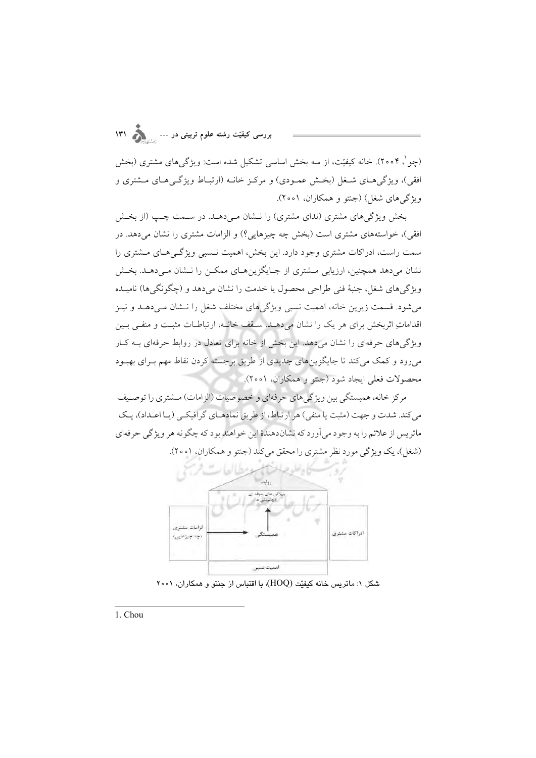(چو `، ۲۰۰۴). خانه کیفیّت، از سه بخش اساسی تشکیل شده است: ویژگیهای مشتری (بخش افقی)، ویژگیهای شـغل (بخـش عمـودی) و مرکـز خانـه (ارتبـاط ویژگـیهـای مـشتری و ویژگے های شغل) (جنتو و همکاران، ۲۰۰۱).

بخش ویژگیهای مشتری (ندای مشتری) را نــشان مـی(دهــد. در ســمت چــب (از بخــش افقی)، خواستههای مشتری است (بخش چه چیزهایی؟) و الزامات مشتری را نشان می دهد. در سمت راست، ادراکات مشتری وجود دارد. این بخش، اهمیت نـسبی ویژگـی هـای مـشتری را نشان میدهد همچنین، ارزیابی مــشتری از جــایگزینهــای ممکــن را نــشان مــیدهــد. بخــش ویژگیهای شغل، جنبهٔ فنی طراحی محصول یا خدمت را نشان میدهد و (چگونگیها) نامیــده میشود. قسمت زیرین خانه، اهمیت نسبی ویژگیهای مختلف شغل را نـشان مـیدهــد و نیــز اقداماتِ اثربخش برای هر یک را نشان میدهـد. سـقف خانـه، ارتباطـات مثبـت و منفـی بـین ویژگم های حرفهای را نشان میدهد. این بخش از خانه برای تعادل در روابط حرفهای بـه کـار میرود و کمک میکند تا جایگزینهای جدیدی از طریق برجسته کردن نقاط مهم بـرای بهبـود محصولات فعلي ايجاد شود (جنتو و همكاران، ٢٥٥١).

مر کز خانه، همبستگی بین ویژگی های حرفهای و خصوصیات (الزامات) مشتری را توصیف می کند. شدت و جهت (مثبت یا منفی) هر ارتباط، از طریق نمادهـای گرافیکـی (پـا اعـداد)، یـک ماتريس از علائم را به وجود مي آورد كه نشاندهندهٔ اين خواهند بود كه چگونه هر ويژگي حرفهاي (شغل)، یک ویژگی مورد نظر مشتری را محقق می کند (جنتو و همکاران، ۲۰۰۱).



شكل ۱: ماتريس خانه كيفيّت (HOQ)، با اقتباس از جنتو و همكاران، ۲۰۰۱

1. Chou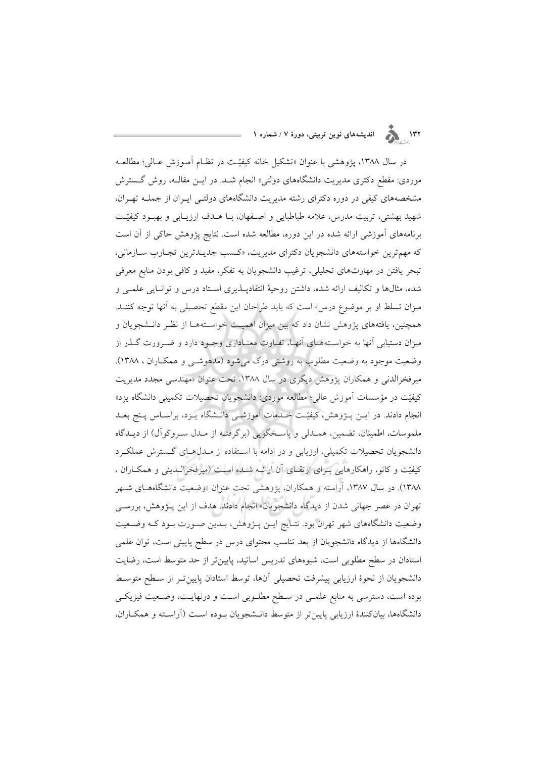## ۱۳۲<br>۱۳۲ هـ او المدیشههای نوین تربیتی، دورهٔ ۷ / شماره ۱

در سال ۱۳۸۸، پژوهشی با عنوان «تشکیل خانه کیفیّـت در نظـام آمـوزش عـالی؛ مطالعـه موردی: مقطع دکتری مدیریت دانشگاههای دولتی» انجام شــد. در ایــن مقالــه، روش گــسترش مشخصههای کیفی در دوره دکترای رشته مدیریت دانشگاههای دولتـی ایـران از جملــه تهـران، شهید بهشتی، تربیت مدرس، علامه طباطبایی و اصفهان، بـا هـدف ارزیـابی و بهبـود کیفیّـت برنامههای آموزشی ارائه شده در این دوره، مطالعه شده است. نتایج پژوهش حاکی از آن است كه مهمترين خواستههاي دانشجويان دكتراي مديريت، «كسب جديـدترين تجـارب سـازماني، تبحر یافتن در مهارتهای تحلیلی، ترغیب دانشجویان به تفکر، مفید و کافی بودن منابع معرفی شده، مثالها و تکالیف ارائه شده، داشتن روحیهٔ انتقادپــذیری اســتاد درس و توانــایی علمــی و میزان تسلط او بر موضوع درس» است که باید طراحان این مقطع تحصیلی به آنها توجه کننـد. همچنین، یافتههای پژوهش نشان داد که بین میزان اهمیـت خواسـتههـا از نظـر دانـشجویان و میزان دستیابی آنها به خواستههای آنها، تفـاوت معنـاداری وجـود دارد و ضـرورت گــذر از وضعیت موجود به وضعیت مطلوب به روشنی درک میشود (مدهوشــی و همکــاران ، ۱۳۸۸). میرفخرالدنی و همکاران پژوهش دیگری در سال ۱۳۸۸، تحت عنوان «مهندسی مجدد مدیریت کیفیّت در مؤسسات آموزش عالی؛ مطالعه موردی: دانشجویان تحصیلات تکمیلی دانشگاه یزد» انجام دادند. در ایــن پــژوهش، کیفیّـت خــدمات اَموزشــی دانــشگاه پــزد، براســاس پــنج بعــد ملموسات، اطمینان، تضمین، همـدلی و پاسـخگویی (برگرفتـه از مـدل سـروکوآل) از دیـدگاه دانشجویان تحصیلات تکمیلی، ارزیابی و در ادامه با استفاده از مـدل(هـای گـسترش عملکـرد کیفیّت و کانو، راهکارهایی بـرای ارتقـای آن ارائـه شـده اسـت (میرفخرالـدینی و همکـاران ، ۱۳۸۸). در سال ۱۳۸۷، آراسته و همکاران، پژوهشی تحت عنوان «وضعیت دانشگاههـای شـهر تهران در عصر جهانی شدن از دیدگاه دانشجویان» انجام دادند. هدف از این پـژوهش، بررسـی وضعیت دانشگاههای شهر تهران بود. نتـایج ایــن پــژوهش، بــدین صــورت بــود کــه وضــعیت دانشگاهها از دیدگاه دانشجویان از بعد تناسب محتوای درس در سطح پایینی است، توان علمی استادان در سطح مطلوبی است، شیوههای تدریس اساتید، پایین تر از حد متوسط است، رضایت دانشجویان از نحوهٔ ارزیابی پیشرفت تحصیلی آنها، توسط استادان پایین تـر از سـطح متوسـط بوده است، دسترسی به منابع علمـی در سـطح مطلـوبی اسـت و درنهایـت، وضـعیت فیزیکـی دانشگاهها، بیانکنندهٔ ارزیابی پایین تر از متوسط دانـشجویان بـوده اسـت (آراسـته و همکـاران،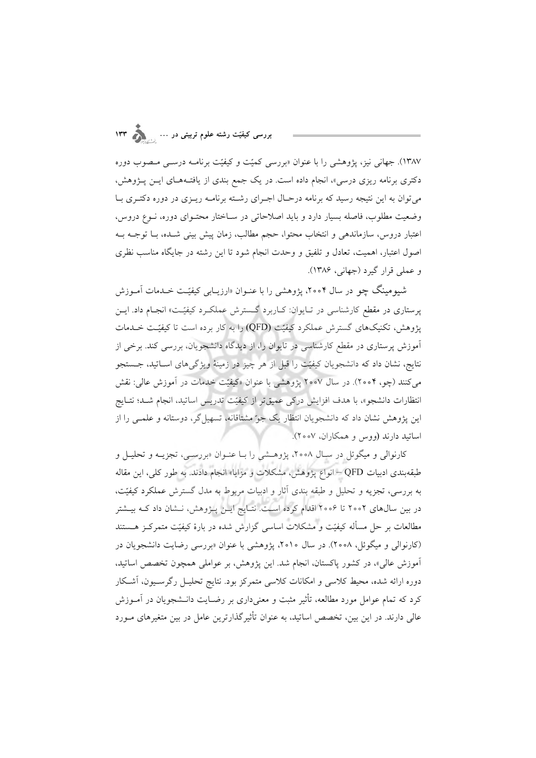۱۳۸۷). جهانی نیز، پژوهشی را با عنوان «بررسی کمیّت و کیفیّت برنامـه درسـبی مـصوب دوره دکتری برنامه ریزی درسی»، انجام داده است. در یک جمع بندی از یافتـههـای ایــن پــژوهش، می توان به این نتیجه رسید که برنامه درحـال اجـرای رشـته برنامـه ریـزی در دوره دکتـری بـا وضعیت مطلوب، فاصله بسیار دارد و باید اصلاحاتی در سـاختار محتـوای دوره، نـوع دروس، اعتبار دروس، سازماندهی و انتخاب محتوا، حجم مطالب، زمان پیش بینی شـده، بـا توجــه بــه اصول اعتبار، اهمیت، تعادل و تلفیق و وحدت انجام شود تا این رشته در جایگاه مناسب نظری و عملي قرار گيرد (جهاني، ١٣٨۶).

شیومینگ چو در سال ۲۰۰۴، پژوهشی را با عنـوان «ارزیــابی کیفیّـت خــدمات آمــوزش پرستاری در مقطع کارشناسی در تبایوان: کباربرد گسترش عملکبرد کیفیّت» انجبام داد. ایس پژوهش، تکنیکهای گسترش عملکرد کیفیّت (QFD) را به کار برده است تا کیفیّت خــدمات .<br>آموزش پرستاری در مقطع کارشناسی در تایوان را، از دیدگاه دانشجویان، بررسی کند. برخی از نتايج، نشان داد كه دانشجويان كيفيّت را قبل از هر چيز در زمينهٔ ويژگيهاي اســاتيد، جــستجو میکنند (چو، ۲۰۰۴). در سال ۲۰۰۷ پژوهشی با عنوان «کیفیّت خدمات در اَموزش عالی: نقش انتظارات دانشجو»، با هدف افزایش درکی عمیقتر از کیفیّت تدریس اساتید، انجام شـد؛ نتـایج این پژوهش نشان داد که دانشجویان انتظار یک جو مشتاقانه، تسهیل گر، دوستانه و علمـی را از اساتيد دارند (ووس و همكاران، ٢٥٥٧).

کارنوالی و میگوئل در سـال ۲۰۰۸، پژوهـشی را بـا عنـوان «بررسـی، تجزیــه و تحلیـل و طبقهبندی ادبیات QFD – انواع پژوهش، مشکلات و مزایا» انجام دادند. به طور کلی، این مقاله به بررسی، تجزیه و تحلیل و طبقه بندی آثار و ادبیات مربوط به مدل گسترش عملکرد کیفیّت، در بین سالهای ۲۰۰۲ تا ۲۰۰۶ اقدام کرده است. نتـایج ایـن پـژوهش، نـشان داد کـه بیـشتر مطالعات بر حل مسأله كيفيّت و مشكلات اساسى گزارش شده در بارهٔ كيفيّت متمركـز هــستند (کارنوالی و میگوئل، ۲۰۰۸). در سال ۲۰۱۰، پژوهشی با عنوان «بررسی رضایت دانشجویان در آموزش عالی»، در کشور پاکستان، انجام شد. این پژوهش، بر عواملی همچون تخصص اساتید، دوره ارائه شده، محیط کلاسی و امکانات کلاسی متمرکز بود. نتایج تحلیـل رگرسـیون، آشـکار کرد که تمام عوامل مورد مطالعه، تأثیر مثبت و معنیداری بر رضـایت دانــشجویان در آمــوزش عالی دارند. در این بین، تخصص اساتید، به عنوان تأثیرگذارترین عامل در بین متغیرهای مـورد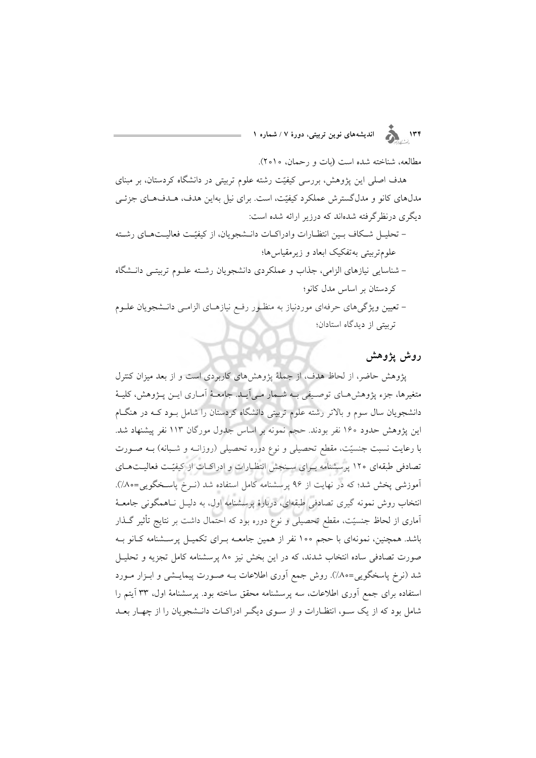# ۱۳۴<br>۱۳۴ <sub>ه</sub> کال اندیشههای نوین تربیتی، دورهٔ ۷ / شماره ۱

مطالعه، شناخته شده است (بات و رحمان، ٢٥١٥).

هدف اصلی این پژوهش، بررسی کیفیّت رشته علوم تربیتی در دانشگاه کردستان، بر مبنای مدلهای کانو و مدلگسترش عملکرد کیفیّت، است. برای نیل بهاین هدف، هـدفهـای جزئـی دیگری درنظر گرفته شدهاند که درزیر ارائه شده است:

- تحليــل شــكاف بــين انتظــارات وادراكــات دانــشجويان، از كيفيّــت فعاليــتهــاي رشــته علومتربيتي بهتفكيك ابعاد و زيرمقياس ها؛
- شناسایی نیازهای الزامی، جذاب و عملکردی دانشجویان رشته علـوم تربیتـی دانــشگاه کردستان بر اساس مدل کانو؛
- تعیین ویژگی،ای حرفهای موردنیاز به منظـور رفـع نیازهـای الزامـی دانـشجویان علــوم ترستی از دیدگاه استادان؛

### روش يژوهش

پژوهش حاضر، از لحاظ هدف، از جملهٔ پژوهشهای کاربردی است و از بعد میزان کنترل متغیرها، جزء پژوهشهای توصیفی بـه شـمار مـی]یـد. جامعـهٔ اَمـاری ایــن پــژوهش، کلیــهٔ دانشجویان سال سوم و بالاتر رشته علوم تربیتی دانشگاه کردستان را شامل بـود کـه در هنگـام این یژوهش حدود ۱۶۰ نفر بودند. حجم نمونه بر اساس جدول مورگان ۱۱۳ نفر پیشنهاد شد. با رعایت نسبت جنسیّت، مقطع تحصیلی و نوع دوره تحصیلی (روزانـه و شـبانه) بـه صـورت تصادفی طبقهای ۱۲۰ پرسشنامه برای سنجش انتظارات و ادراکات از کیفیّت فعالیتهای آموزشی پخش شد؛ که در نهایت از ۹۶ پرسشنامه کامل استفاده شد (نـرخ پاسـخگویی=۸۰٪). انتخاب روش نمونه گیری تصادفی طبقهای، دربارهٔ پرسشنامه اول، به دلیـل نـاهمگونی جامعـهٔ آماری از لحاظ جنسیّت، مقطع تحصیلی و نوع دوره بود که احتمال داشت بر نتایج تأثیر گـذار باشد. همچنین، نمونهای با حجم ۱۰۰ نفر از همین جامعـه بـرای تکمیـل پرسـشنامه کـانو بـه صورت تصادفی ساده انتخاب شدند، که در این بخش نیز ۸۰ پرسشنامه کامل تجزیه و تحلیـل شد (نرخ پاسخگویی=۸۰٪). روش جمع اَوری اطلاعات بـه صـورت پیمایــشی و ابــزار مــورد استفاده برای جمع آوری اطلاعات، سه پرسشنامه محقق ساخته بود. پرسشنامهٔ اول، ۳۳ آیتم را شامل بود که از یک سـو، انتظـارات و از سـوی دیگـر ادراکـات دانـشجویان را از چهـار بعـد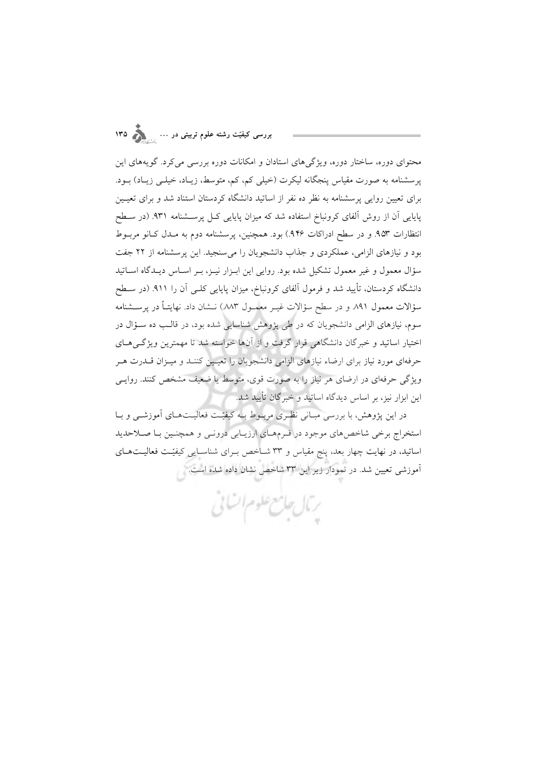محتوای دوره، ساختار دوره، ویژگی های استادان و امکانات دوره بررسی می کرد. گویههای این پرسشنامه به صورت مقیاس پنجگانه لیکرت (خیلی کم، کم، متوسط، زیـاد، خیلـی زیـاد) بـود. برای تعیین روایی پرسشنامه به نظر ده نفر از اساتید دانشگاه کردستان استناد شد و برای تعیـین پایایی آن از روش آلفای کرونباخ استفاده شد که میزان پایایی کـل پرسـشنامه ۹۳۱. (در سـطح انتظارات ۹۵۳. و در سطح ادراکات ۹۴۶.) بود. همچنین، پرسشنامه دوم به مـدل کـانو مربــوط بود و نیازهای الزامی، عملکردی و جذاب دانشجویان را می سنجید. این پرسشنامه از ۲۲ جفت سؤال معمول و غیر معمول تشکیل شده بود. روایی این ابـزار نیـز، بـر اسـاس دیـدگاه اســاتید دانشگاه کردستان، تأیید شد و فرمول آلفای کرونباخ، میزان پایایی کلـی آن را ۹۱۱. (در سـطح سؤالات معمول ۸۹۱ و در سطح سؤالات غیــر معمــول ۸۸۳) نــشان داد. نهایتــاً در پرســشنامه سوم، نیازهای الزامی دانشجویان که در طی پژوهش شناسایی شده بود، در قالـب ده سـؤال در .<br>اختیار اساتید و خبرگان دانشگاهی قرار گرفت و از آنها خواسته شد تا مهمترین ویژگ<sub>م</sub> هـای حرفهای مورد نیاز برای ارضاء نیازهای الزامی دانشجویان را تعیمین کننـد و میــزان قــدرت هــر ویژگی حرفهای در ارضای هر نیاز را به صورت قوی، متوسط یا ضعیف مشخص کنند. روایـی این ابزار نیز، بر اساس دیدگاه اساتید و خبرگان تأیید شد.

در این پژوهش، با بررسی مبـانی نظـری مربـوط بـه کیفیّـت فعالیـتهـای آموزشــی و بـا استخراج برخی شاخصهای موجود در فـرمهـای ارزیـابی درونـی و همچنـین بـا صـلاحدید اساتید، در نهایت چهار بعد، پنج مقیاس و ۳۳ شــاخص بــرای شناســایی کیفیّــت فعالیــت۱مـای آموزشی تعیین شد. در نمودار زیر این ۳۳ شاخص نشان داده شده است.<br>.

يتما جامع علوم اتنائى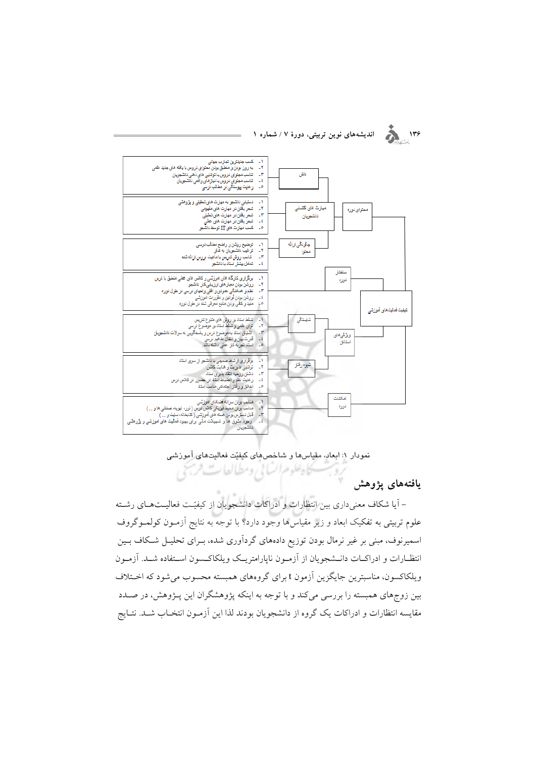

#### اندیشههای نوین تربیتی، دورهٔ ۷ / شماره ۱



نمودار ١: ابعاد، مقياسها و شاخصهاى كيفيّت فعاليتهاى آموزشى كادعلوم الساني ومطالعات فريحي

يافتههاى يژوهش

– آیا شکاف معنیداری بین انتظارات و ادراکات دانشجویان از کیفیّـت فعالیـتهـای رشـته علوم تربیتی به تفکیک ابعاد و زیر مقیاس۵ها وجود دارد؟ با توجه به نتایج آزمـون کولمـوگروف اسمیرنوف، مبنی بر غیر نرمال بودن توزیع دادههای گردآوری شده، بـرای تحلیـل شـکاف بـین انتظـارات و ادراكـات دانــشجويان از آزمــون نايارامتريــك ويلكاكــسون اســتفاده شــد. آزمــون ویلکاکسون، مناسبترین جایگزین آزمون t برای گروههای همبسته محسوب می شود که اخـتلاف بین زوجهای همبسته را بررسی میکند و با توجه به اینکه پژوهشگران این پـژوهش، در صـدد مقايسه انتظارات و ادراكات يك گروه از دانشجويان بودند لذا اين آزمـون انتخـاب شـد. نتـايج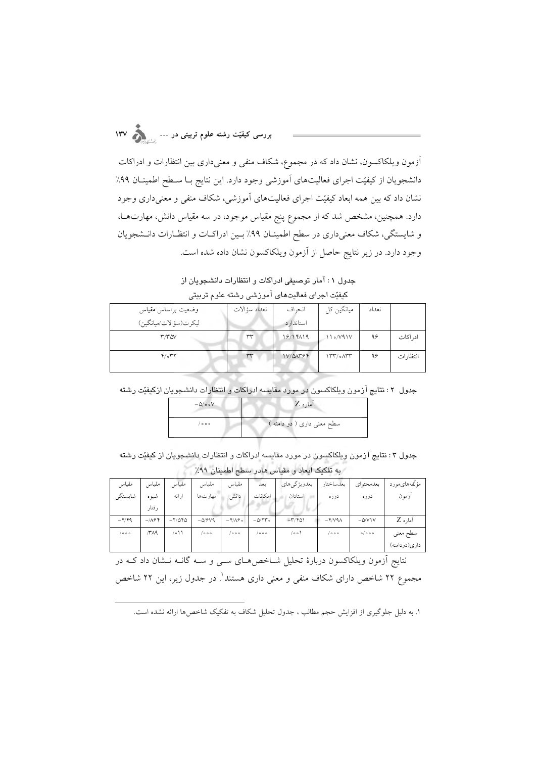بررسی کیفیّت رشته علوم تربیتی در … <sub>...</sub>.

آزمون ویلکاکسون، نشان داد که در مجموع، شکاف منفی و معنیداری بین انتظارات و ادراکات دانشجویان از کیفیّت اجرای فعالیتهای آموزشی وجود دارد. این نتایج بـا سـطح اطمینـان ۹۹٪ نشان داد که بین همه ابعاد کیفیّت اجرای فعالیتهای آموزشی، شکاف منفی و معنی،داری وجود دارد. همچنین، مشخص شد که از مجموع پنج مقیاس موجود، در سه مقیاس دانش، مهارتهـا، و شایستگی، شکاف معنیداری در سطح اطمینـان ۹۹٪ بـین ادراکـات و انتظـارات دانـشجویان وجود دارد. در زیر نتایج حاصل از آزمون ویلکاکسون نشان داده شده است.

جدول ۱: آمار توصیفی ادراکات و انتظارات دانشجویان از کیفیّت اجرای فعالیتهای آموزشی رشته علوم تربیتی

| وضعيت براساس مقياس                    | تعداد سؤالات | انحر اف    | میانگین کل | تعداد |           |
|---------------------------------------|--------------|------------|------------|-------|-----------|
| ليكرت(سؤالات/ميانگين)                 |              | استاندار د |            |       |           |
| $\mathsf{r} \wedge \mathsf{r} \wedge$ | ٣٣           | 18/14/19   | 110/Y41V   | ۹۶    | ادر اکات  |
| $Y/\circ Y$                           | ww           | IV/MY94    | 177/0      | ۹۶    | انتظار ات |

جدول ٢: نتايج آزمون ويلكاكسون در مورد مقايسه ادراكات و انتظارات دانشجويان ازكيفيّت رشته

| $-\Delta/\circ \circ V$ | آماره Z                    |
|-------------------------|----------------------------|
| $\circ \circ \circ$     | سطح معنی داری ( دو دامنه ) |

جدول ۳ : نتایج آزمون ویلکاکسون در مورد مقایسه ادراکات و انتظارات دانشجویان از کیفیّت رشته به تفکیک ابعاد و مقیاس هادر سطح اطمینان ۹۹٪

| مقياس          | مقياس               | مقياس               | مقياس             | مقياس          | بعل       | بعدويژگيهاي                       | بعدساختار                  | بعدمحتواي   | مؤلّفههاىمورد |
|----------------|---------------------|---------------------|-------------------|----------------|-----------|-----------------------------------|----------------------------|-------------|---------------|
| شايستگى        | شيوه                | ارائه               | مهارتها           | دانش           | امكانات   | استادان                           | دوره                       | دوره        | أزمون         |
|                | ر فتار              |                     |                   |                |           |                                   |                            |             |               |
| $-\frac{4}{3}$ | $-709$              | $-Y/\Delta f\Delta$ | $-\Delta$ / $9V9$ | $-\frac{4}{3}$ | $-\Delta$ | $-\mathbf{r}/\mathbf{r}$ $\Omega$ | $-\frac{4}{3}$             | $-\Delta V$ | آماره Z       |
| ە ە /          | $\sqrt{r} \wedge q$ | ۱۱ ه                | ە ە /             | ه ه ه /        | ه ه ه /   | (٥٥/                              | $\sqrt{\circ \circ \circ}$ | 0/000       | سطح معنى      |
|                |                     |                     |                   |                |           |                                   |                            |             | داري(دودامنه) |

نتایج آزمون ویلکاکسون دربارهٔ تحلیل شـاخصهای سـی و سـه گانـه نـشان داد کـه در

مجموع ۲۲ شاخص دارای شکاف منفی و معنی داری هستند ٔ. در جدول زیر، این ۲۲ شاخص

١. به دلیل جلوگیری از افزایش حجم مطالب ، جدول تحلیل شکاف به تفکیک شاخصها ارائه نشده است.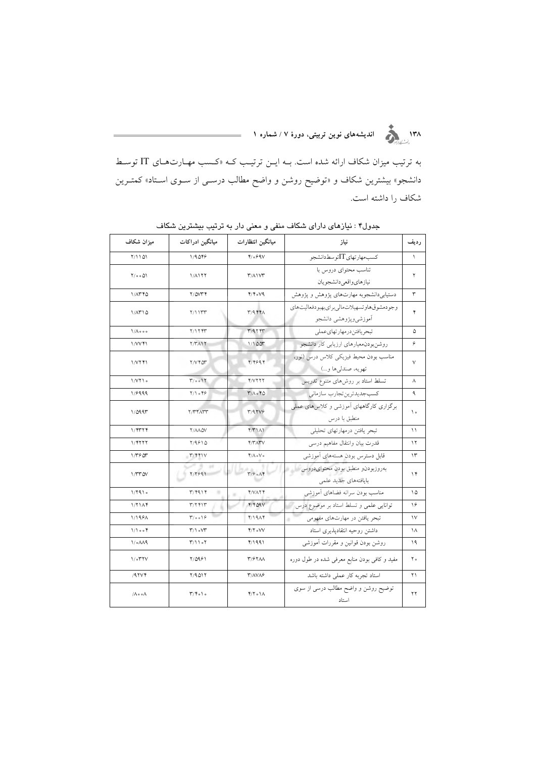به ترتیب میزان شکاف ارائه شده است. بــه ایــن ترتیــب کــه «کـسب مهــارتهـای IT توســط دانشجو» بیشترین شکاف و «توضیح روشن و واضح مطالب درســی از ســوی اســتاد» کمتــرین شکاف را داشته است.

| میزان شکاف                     | ميانگين ادراكات                         | ميانگين انتظارات                        | نياز                                                                     | رديف          |
|--------------------------------|-----------------------------------------|-----------------------------------------|--------------------------------------------------------------------------|---------------|
| Y/1101                         | 1/9048                                  | $Y_0$ ۶۹۷                               | كسب مهارتهاي ITتوسط دانشجو                                               | $\lambda$     |
| $Y/\circ \circ \Delta Y$       | 1/1177                                  | $\mathsf{r}$ / $\wedge$                 | تناسب محتوای دروس با<br>نيازهاي واقعى دانشجويان                          | ٢             |
| $1/\Lambda T F \Delta$         | Y/OVTY                                  | $Y/\gamma$ . $V$                        | دستیابیدانشجوبه مهارتهای پژوهش و پژوهش                                   | ٣             |
| $1/\Lambda T 10$               | Y/11TT                                  | $T/9$ $FTA$                             | وجودمشوق هاوتسهيلات مالي براي بهبودفعاليت هاى<br>أموزشيويژوهشي دانشجو    | ۴             |
| $1/\Lambda$ $\circ$ $\circ$    | Y/17.97                                 | T/97.9T                                 | تبحريافتندرمهارتهاىعملى                                                  | ۵             |
| 1/VVf1                         | $Y/Y$ $1Y$                              | 1/100                                   | روشنبودن معيارهاي ارزيابي كار دانشجو                                     | ۶             |
| 1/VIY1                         | <b>T/V FOT</b>                          | Y/Y994                                  | مناسب بودن محيط فيزيكي كلاس درس (نور،<br>تھويه، صندل <sub>ي</sub> ها و…) | $\vee$        |
| 1/VI                           | $T/\circ \circ 17$                      | Y/YYYY                                  | تسلط استاد بر روشهای متنوع تدریس                                         | ٨             |
| 1/8999                         | Y/1049                                  | $T/\Lambda \circ F \Delta$              | كسبجديدترين تجارب سازماني                                                | ٩             |
| 1/0997                         | <b>T/TTATT</b>                          | T/97V9                                  | برگزاری کارگاههای آموزشی و کلاس های عملی<br>منطبق با درس                 | ه ۱           |
| 1/5774                         | <b>Y/AAQV</b>                           | $f(T \Lambda)$                          | تبحر يافتن درمهارتهاى تحليلي                                             | $\setminus$   |
| 1/5777                         | Y/9910                                  | <b>Y/T/ITV</b>                          | قدرت بيان وانتقال مفاهيم درسى                                            | ۱۲            |
| 1/15.05                        | Y/YY'V                                  | $f/\Lambda_o V_o$                       | قابل دسترس بودن هستههای آموزشی                                           | ۱۳            |
| <b>I/TT OV</b>                 | Y/Y991                                  | $\mathsf{r}/\mathsf{F}$ on $\mathsf{F}$ | بهروزبودنو منطبق بودن محتواىدروس<br>بايافتههاي جديد علمى                 | $\gamma$      |
| 1/7910                         | $\mathbf{r}/\mathbf{r}$ 91 $\mathbf{r}$ | <b>YVAYY</b>                            | مناسب بودن سرانه فضاهاى أموزشى                                           | ۱۵            |
| 1/71A                          | ۳/۲۴۱۳                                  | $Y/Y$ $09V$                             | توانایی علمی و تسلط استاد بر موضوع درس                                   | ۱۶            |
| 1/1981                         | $T/\circ \circ 19$                      | f/19AF                                  | تبحر یافتن در مهارتهای مفهومی                                            | $\mathcal{N}$ |
| 1/1004                         | $T/1$ ovr                               | $Y/Y$ o $VV$                            | داشتن روحيه انتقادپذيرى استاد                                            | ۱۸            |
| $1/60 \Lambda$                 | T/1107                                  | 4/1991                                  | روشن بودن قوانين و مقررات أموزشي                                         | ۱۹            |
| $1/\circ 77V$                  | ۲/۵۹۶۱                                  | <b>٣/۶٢٨٨</b>                           | مفید و کافی بودن منابع معرفی شده در طول دوره                             | ۲۰            |
| $/9$ $\gamma\gamma$            | Y/9Q1Y                                  | <b>٣/٨٧٨۶</b>                           | استاد تجربه كار عملى داشته باشد                                          | ۲۱            |
| $/\Lambda \circ \circ \Lambda$ | $\Gamma/\Upsilon_0$ ) o                 | $Y/Y \circ Y$                           | توضیح روشن و واضح مطالب درسی از سوی<br>استاد                             | ۲۲            |

جدول۴ : نیازهای دارای شکاف منفی و معنی دار به ترتیب بیشترین شکاف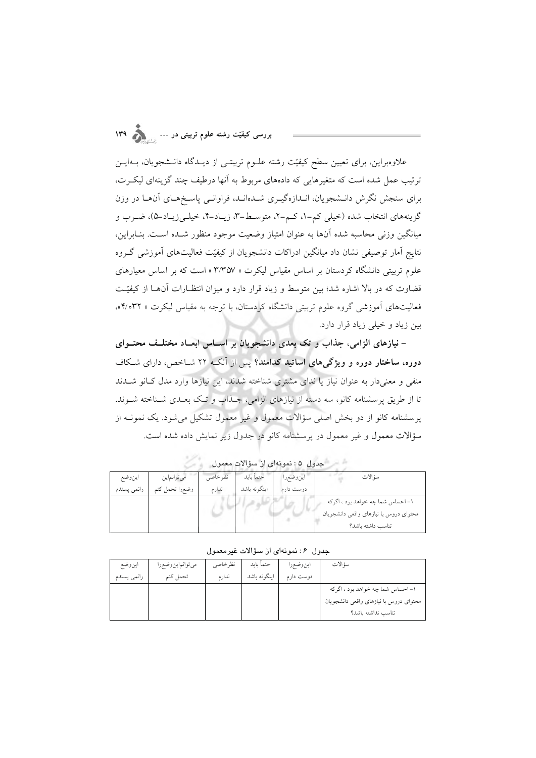علاوهبراین، برای تعیین سطح کیفیّت رشته علـوم تربیتـی از دیـدگاه دانـشجویان، بـهایـن ترتیب عمل شده است که متغیرهایی که دادههای مربوط به آنها درطیف چند گزینهای لیکرت، برای سنجش نگرش دانـشجویان، انـدازهگیـری شـدهانـد، فراوانـی پاسـخهـای آنهـا در وزن گزينههاي انتخاب شده (خيلي كم=۱، كـم=۲، متوسـط=۳، زيـاد=۴، خيلـي;ريـاد=۵)، ضـرب و میانگین وزنی محاسبه شده آنها به عنوان امتیاز وضعیت موجود منظور شـده اسـت. بنـابراین، نتايج آمار توصيفي نشان داد ميانگين ادراكات دانشجويان از كيفيّت فعاليتهاى آموزشي گروه علوم تربیتی دانشگاه کردستان بر اساس مقیاس لیکرت « ۳/۳۵۷ » است که بر اساس معیارهای قضاوت که در بالا اشاره شد؛ بین متوسط و زیاد قرار دارد و میزان انتظـارات آنهـا از کیفیّـت فعالیتهای آموزشی گروه علوم تربیتی دانشگاه کردستان، با توجه به مقیاس لیکرت « ۴/۰۳۲)». بین زیاد و خیلی زیاد قرار دارد.

– نیازهای الزامی، جذاب و تک بعدی دانشجویان بر اسـاس ابعـاد مختلـف محتــوای دوره، ساختار دوره و ویژگیهای اساتید کدامند؟ پس از آنکه ۲۲ شـاخص، دارای شـکاف منفی و معنی دار به عنوان نیاز یا ندای مشتری شناخته شدند، این نیازها وارد مدل کـانو شــدند تا از طریق پرسشنامه کانو، سه دسته از نیازهای الزامی، جـذاب و تـک بعـدی شــناخته شــوند. پرسشنامه کانو از دو بخش اصلی سؤالات معمول و غیر معمول تشکیل می شود. یک نمونـه از سؤالات معمول و غیر معمول در پرسشنامه کانو در جدول زیر نمایش داده شده است.

| $O.7 -$     |                |         |              |           |                                        |  |  |  |  |
|-------------|----------------|---------|--------------|-----------|----------------------------------------|--|--|--|--|
| اينوضع      | می توانماین    | نظرخاصي | حتماً بايد   | اينوضعرا  | سؤ الات                                |  |  |  |  |
| رانمي پسندم | وضعرا تحمل كنم | ندارم   | اينگونه باشد | دوست دارم |                                        |  |  |  |  |
|             |                |         |              |           | ۱- احساس شما چه خواهد بود ، اگرکه      |  |  |  |  |
|             |                |         |              |           | محتواى دروس با نيازهاى واقعى دانشجويان |  |  |  |  |
|             |                |         |              |           | تناسب داشته باشد؟                      |  |  |  |  |

شير شجيول ٥: نمونهاي لا سؤالات معمول بالمستخدم

حدول ٤ : نمونهاي از سؤالات غير معمول

| اينوضع      | مي توانماين وضع را | نظر خاصى | حتمأ بايد    | اينوضعرا  | سؤ الات                                |
|-------------|--------------------|----------|--------------|-----------|----------------------------------------|
| رانمي يسندم | تحمل كنم           | ندار م   | اینگونه باشد | دوست دارم |                                        |
|             |                    |          |              |           | ۱- احساس شما چه خواهد بود ، اگر که     |
|             |                    |          |              |           | محتوای دروس با نیازهای واقعی دانشجویان |
|             |                    |          |              |           | تناسب نداشته باشد؟                     |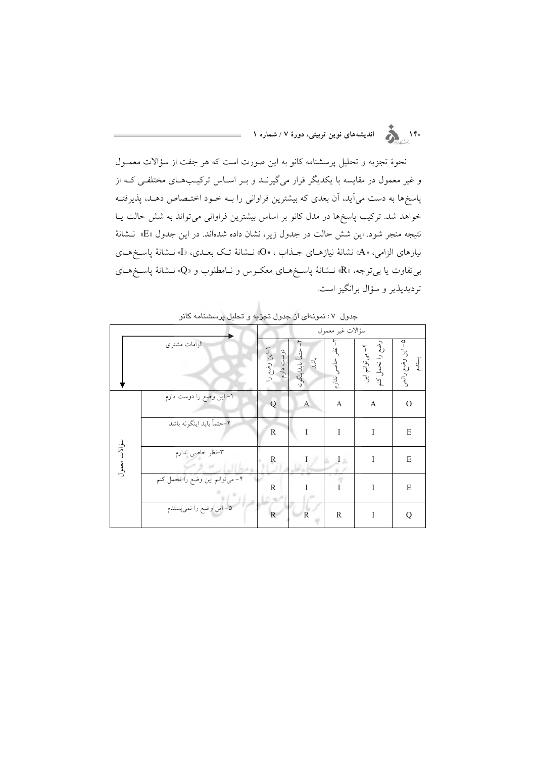.<br>۱۴۰ <sub>.</sub> هم از است اندیشههای نوین تربیتی، دورهٔ ۷ / شماره ۱

نحوهٔ تجزیه و تحلیل پرسشنامه کانو به این صورت است که هر جفت از سؤالات معمـول و غیر معمول در مقایسه با یکدیگر قرار میگیرنــد و بــر اســاس ترکیــبهــای مختلفــی کــه از پاسخها به دست میآید، آن بعدی که بیشترین فراوانی را بــه خــود اختــصاص دهــد، پذیرفتــه خواهد شد. ترکیب پاسخها در مدل کانو بر اساس بیشترین فراوانی میتواند به شش حالت یـا نتيجه منجر شود. اين شش حالت در جدول زير، نشان داده شدهاند. در اين جدول «E» نـشانهٔ نيازهاي الزامي، «A» نشانهٔ نيازهـاي جــذاب ، «O» نــشانهٔ تــک بعــدي، «I» نــشانهٔ پاســخهــاي بی تفاوت یا بی توجه، «R» نــشانهٔ پاسـخهـای معکـوس و نــامطلوب و «Q» نــشانهٔ پاسـخهـای تردیدپذیر و سؤال برانگیز است.

|              |                                 |                                      |                                   | سؤالات غير معمول                       |                                                     |                            |
|--------------|---------------------------------|--------------------------------------|-----------------------------------|----------------------------------------|-----------------------------------------------------|----------------------------|
|              | الزامات مشترى                   | دوست<br>–این وضع را<br>$\frac{1}{2}$ | حتمأ بايداينگونه<br>$\frac{1}{2}$ | $\mathbb{F}$<br>$\frac{d}{d}$<br>ندارم | وضع را تحمل<br>۴ – می توانم این<br>$\sum_{i=1}^{n}$ | ۵– این وضع رانعمی<br>پسندم |
|              | ۱– این وضع را دوست دارم         | Q                                    | A                                 | A                                      | A                                                   | $\Omega$                   |
|              | ٢-حتماً بايد اينگونه باشد       | $\mathbb{R}$                         | $\mathbf I$                       | $\mathbf I$                            | I                                                   | E                          |
| سؤالات معمول | ٣-نظر خاصي ندارم                | $\mathbb{R}$                         | Ι                                 | $\pm$ $\pm$                            | I                                                   | E                          |
|              | ۴– می توانم این وضع را تحمل کنم | R                                    |                                   | I                                      | I                                                   | E                          |
|              | ۵– این وضع را نمیپسندم          | $\mathbf{R}$                         | $\mathbb{R}$                      | $\mathbb{R}$                           | I                                                   | Q                          |

جدول ۷: نمونهای از جدول تجزیه و تحلیل پرسشنامه کانو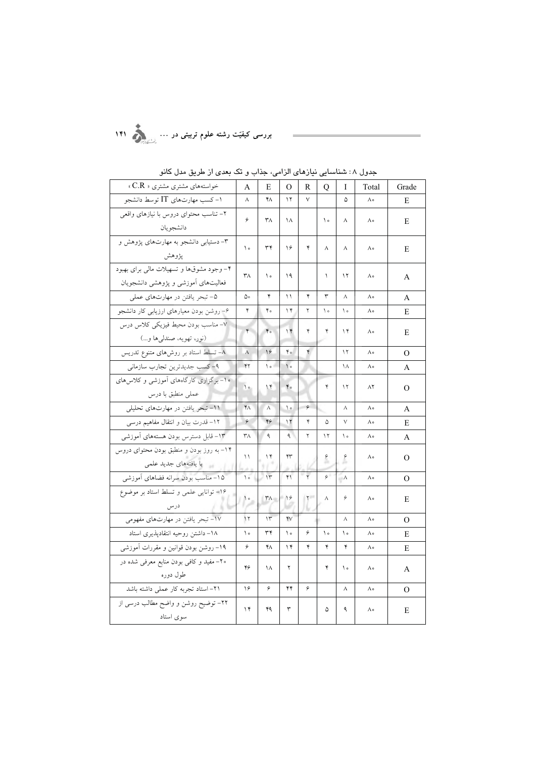| - 55                                                                            | ◡                        |                        |                      |              |               |                | ون ۲۰۰ |                |
|---------------------------------------------------------------------------------|--------------------------|------------------------|----------------------|--------------|---------------|----------------|--------|----------------|
| خواستههای مشتری مشتری « C.R »                                                   | A                        | Е                      | O                    | R            | Q             | Ι              | Total  | Grade          |
| ۱- کسب مهارتهای IT توسط دانشجو                                                  | $\wedge$                 | ۴٨                     | ۱۲                   | V            |               | ۵              | ٨۰     | Ε              |
| ۲- تناسب محتواى دروس با نيازهاى واقعى<br>دانشجو يان                             | ۶                        | ۳Λ                     | ١٨                   |              | ه ۱           | ٨              | ٨۰     | E              |
| ۳- دستیابی دانشجو به مهارتهای پژوهش و<br>يژوهش                                  | $\backslash$ $\circ$     | ٣۴                     | ۱۶                   | ۴            | ٨             | ٨              | ٨۰     | Е              |
| ۴- وجود مشوقها و تسهیلات مالی برای بهبود<br>فعالیتهای آموزشی و پژوهشی دانشجویان | ۳Λ                       | $\mathcal{L}$          | ۱۹                   |              | $\lambda$     | ۱۲             | ٨۰     | A              |
| ۵- تبحر یافتن در مهارتهای عملی                                                  | ۵۰                       | ۴                      | ۱۱                   | ۴            | ٣             | $\wedge$       | ٨۰     | A              |
| ۶- روشن بودن معیارهای ارزیابی کار دانشجو                                        | ۴                        | ۴۰                     | $\gamma$             | ٢            | $\backslash$  | $\backslash$ o | ٨۰     | E              |
| ٧- مناسب بودن محيط فيزيكي كلاس درس<br>(نور، تهويه، صندليها و…)                  | $\check{\mathbf{r}}$     | $\mathfrak{r}\circ$    | $\gamma$             | ۴            | ۴             | $\gamma$       | ٨۰     | Ε              |
| ۸– تسلط استاد بر روشهای متنوع تدریس                                             | $\lambda$                | 16                     | $4^{\circ}$          | ۴            |               | $\gamma$       | ٨۰     | O              |
| ۹- کسب جدیدترین تجارب سازمانی                                                   | $Y\gamma$                | $\backslash$           | $\big\}$ o           |              |               | ۱۸             | ٨۰     | А              |
| ۱۰– برگزاری کارگاههای آموزشی و کلاس های<br>عملى منطبق با درس                    | $\backslash$ $\circ$     | $\gamma$               | $\mathfrak{r}\circ$  |              | ۴             | ۱۲             | ۸۲     | $\mathbf{O}$   |
| ١١- تبحر يافتن در مهارتهاى تحليلى                                               | $\mathsf{Y}\wedge$       | $\wedge$               | $\backslash$ $\circ$ | ۶            |               | ٨              | ٨۰     | А              |
| ۱۲– قدرت بیان و انتقال مفاهیم درسی                                              | ۶                        | 49                     | $\gamma$             | ۴            | ۵             | $\lor$         | ٨۰     | Е              |
| ۱۳– قابل دسترس بودن هستههای آموزشی                                              | $\mathsf{r}_\Lambda$     | ٩                      | $\mathcal{A}$        | ٢            | $\gamma$      | $\backslash$ o | ٨۰     | A              |
| ۱۴– به روز بودن و منطبق بودن محتوای دروس<br>با يافتههاي جديد علمي               | $\backslash$             | ۱۴                     | ۴٣                   |              | $\epsilon$    | $\epsilon$     | ٨۰     | $\mathbf{O}$   |
| ۱۵– مناسب بودن سرانه فضاهای آموزشی                                              | $\backslash$ $\circ$     | $\mathcal{N}$          | Y                    | $\mathbf{r}$ | $\varphi$     | $\Lambda$      | ٨۰     | O              |
| ۱۶- توانایی علمی و تسلط استاد بر موضوع<br>درس                                   | $\overline{\phantom{a}}$ | $\mathsf{r}_{\Lambda}$ | $\frac{1}{2}$        | $\mathsf{Y}$ | ٨             | ۶              | ٨۰     | E              |
| ۱۷- تبحر یافتن در مهارتهای مفهومی                                               | $\mathcal{N}$            | $\Upsilon$             | YV                   |              |               | Λ              | ٨۰     | $\overline{O}$ |
| ١٨- داشتن روحيه انتقادپذيري استاد                                               | ه ۱                      | ٣۴                     | ه ۱                  | ۶            | $\mathcal{L}$ | ه ۱            | ٨۰     | Е              |
| ۱۹– روشن بودن قوانین و مقررات آموزشی                                            | ۶                        | ۴Λ                     | $\gamma$             | ۴            | ۴             | ۴              | ٨۰     | Ε              |
| ۲۰– مفید و کافی بودن منابع معرفی شده در<br>طول دوره                             | ۴۶                       | ١٨                     | ٢                    |              | ۴             | ه ۱            | ٨۰     | A              |
| ٢١- استاد تجربه كار عملي داشته باشد                                             | ۱۶                       | ۶                      | ۴۴                   | ۶            |               | $\wedge$       | ٨۰     | $\Omega$       |
| ۲۲– توضیح روشن و واضح مطالب درسی از<br>سوى استاد                                | ۱۴                       | ۴۹                     | ٣                    |              | ۵             | ٩              | ٨۰     | Ε              |

جدول ۸: شناسایی نیاز*های* الزامی، جذاب و تک بعدی از طریق مدل کانو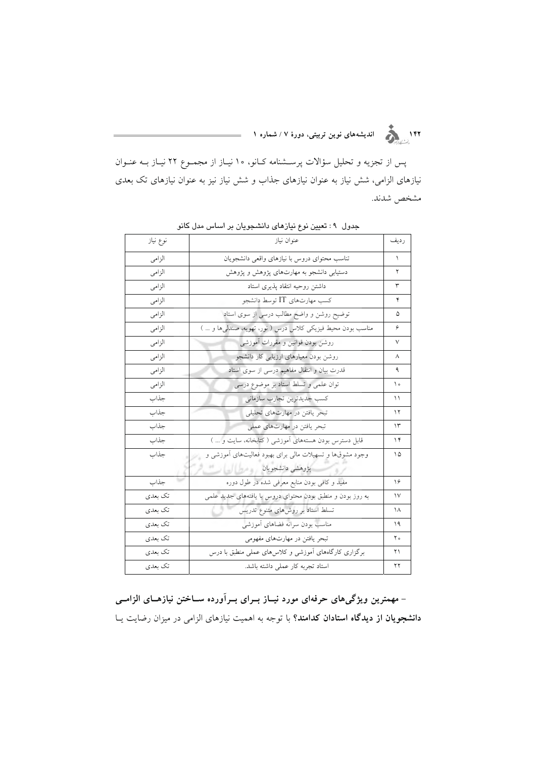پس از تجزیه و تحلیل سؤالات پرســشنامه کــانو، ۱۰ نیــاز از مجمــوع ۲۲ نیــاز بــه عنــوان نیازهای الزامی، شش نیاز به عنوان نیازهای جذاب و شش نیاز نیز به عنوان نیازهای تک بعدی مشخص شدند.

| نوع نياز | عنوان نياز                                                   | رديف |
|----------|--------------------------------------------------------------|------|
| الزامى   | تناسب محتواى دروس با نيازهاى واقعى دانشجويان                 | ١    |
| الزامى   | دستیابی دانشجو به مهارتهای پژوهش و پژوهش                     | ۲    |
| الزامى   | داشتن روحيه انتقاد پذيرى استاد                               | ٣    |
| الز امي  | کسب مهارتهای IT توسط دانشجو                                  | ۴    |
| الزامى   | توضیح روشن و واضح مطالب درسی از سوی استاد                    | ۵    |
| الز امي  | مناسب بودن محیط فیزیکی کلاس درس ( نور، تھویه، صندلی ها و … ) | ۶    |
| الز امي  | روشن بودن قوانین و مقررات أموزشی                             | ٧    |
| الز امي  | روشن بودن معیارهای ارزیابی کار دانشجو                        | ٨    |
| الزامى   | قدرت بیان و انتقال مفاهیم درسی از سوی استاد                  | ٩    |
| الزامى   | توان علمی و تسلط استاد بر موضوع درسی                         | ه ۱  |
| جذاب     | كسب جديدترين تجارب سازماني                                   | ۱۱   |
| جذاب     | تبحر یافتن در مهارتهای تحلیلی                                | ۱۲   |
| جذاب     | تبحر یافتن در مهارتهای عملی                                  | ۱۳   |
| جذاب     | قابل دسترس بودن هستههای أموزشی (کتابخانه، سایت و  )          | ۱۴   |
| جذاب     | وجود مشوقها و تسهیلات مالی برای بهبود فعالیتهای آموزشی و     | ۱۵   |
|          | پژوهشی دانشجویان مسیح است                                    |      |
| جذاب     | مفید و کافی بودن منابع معرفی شده در طول دوره                 | ۱۶   |
| تک بعدی  | به روز بودن و منطبق بودن محتواي دروس با یافتههای جدید علمی   | ١٧   |
| تک بعدی  | تسلط استاد بر روشهای متنوع تدریس                             | ۱۸   |
| تک بعدی  | مناسب بودن سرانه فضاهاى أموزشي                               | ۱۹   |
| تک بعدی  | تبحر یافتن در مهارتهای مفهومی                                | ه ۲  |
| تک بعدی  | برگزاری کارگاههای آموزشی و کلاس های عملی منطبق با درس        | ۲۱   |
| تک بعدی  | استاد تجربه كار عملى داشته باشد.                             | ۲۲   |

جدول ۹: تعیین نوع نیازهای دانشجویان بر اساس مدل کانو

– مهمترین ویژگیهای حرفهای مورد نیــاز بــرای بــرآورده ســاختن نیازهــای الزامــی دانشجویان از دیدگاه استادان کدامند؟ با توجه به اهمیت نیازهای الزامی در میزان رضایت یـا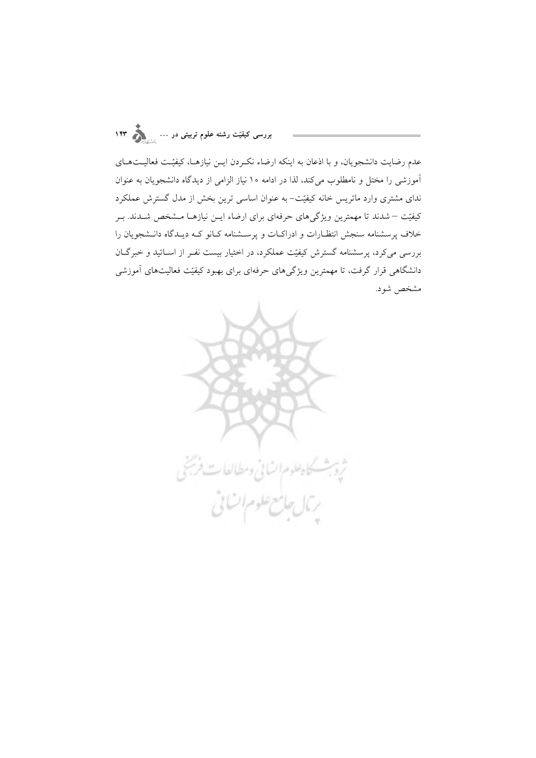بررسی کیفیّت رشته علوم تربیتی در … <sub>...</sub>.

عدم رضایت دانشجویان، و با اذعان به اینکه ارضاء نکـردن ایــن نیازهــا، کیفیّـت فعالیــتهــای آموزشی را مختل و نامطلوب میکند، لذا در ادامه ۱۰ نیاز الزامی از دیدگاه دانشجویان به عنوان ندای مشتری وارد ماتریس خانه کیفیّت– به عنوان اساسی ترین بخش از مدل گسترش عملکرد کیفیّت – شدند تا مهمترین ویژگیهای حرفهای برای ارضاء ایــن نیازهـا مــشخص شــدند. بــر خلاف پرسشنامه سنجش انتظـارات و ادراكـات و پرســشنامه كـانو كــه ديــدگاه دانــشجويان را بررسی میکرد، پرسشنامه گسترش کیفیّت عملکرد، در اختیار بیست نفـر از اســاتید و خبرگــان دانشگاهی قرار گرفت، تا مهمترین ویژگیهای حرفهای برای بهبود کیفیّت فعالیتهای آموزشی مشخص شود.

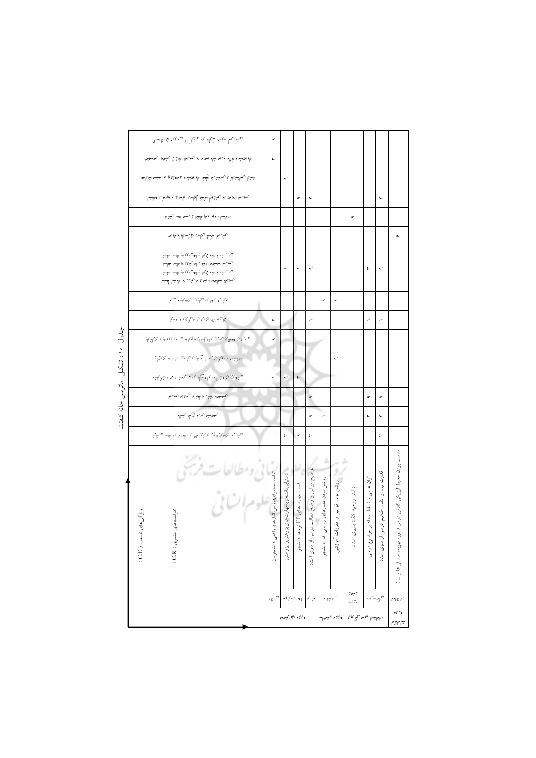|                                   | يحشنهما فبهول طهل يا يخيلها كالرسيس ديمنالجنين                                                                                                                                                 | $\sigma$                                       |                                              |                                   |                                               |                                          |                                      |                                      |                                         |                                             |                                                                                           |
|-----------------------------------|------------------------------------------------------------------------------------------------------------------------------------------------------------------------------------------------|------------------------------------------------|----------------------------------------------|-----------------------------------|-----------------------------------------------|------------------------------------------|--------------------------------------|--------------------------------------|-----------------------------------------|---------------------------------------------|-------------------------------------------------------------------------------------------|
|                                   | لناليجشنانه مقتماد ممايه تناله يمنوبه مبريها لنالعن با يحشخبر بهجاستخا                                                                                                                         | 廴                                              |                                              |                                   |                                               |                                          |                                      |                                      |                                         |                                             |                                                                                           |
|                                   | لمشا رحالتشالا با رحالتشالا ولمحقه زالوبجستناله رداهه يوبو بو بعتسه تءاللقا                                                                                                                    |                                                | ᢦ                                            |                                   |                                               |                                          |                                      |                                      |                                         |                                             |                                                                                           |
|                                   | رسيهمة لناليهج به ريمئنهما لكمك رايالس يولس وبتريميهالا با متالهتما                                                                                                                            |                                                |                                              | ᢦ                                 | 廴                                             |                                          |                                      |                                      |                                         | 廴                                           |                                                                                           |
|                                   | فالملتما فامجو يولمو مالقتال ماسه هعمه زبتشاه                                                                                                                                                  |                                                |                                              |                                   |                                               |                                          |                                      | ᢦ                                    |                                         |                                             |                                                                                           |
|                                   | يحشنهعأ بكمة رايلس ردياسنابا لي يليخا                                                                                                                                                          |                                                |                                              |                                   |                                               |                                          |                                      |                                      |                                         |                                             | $\sigma$                                                                                  |
|                                   | رسيهانة سفلتخه زايفة والهريثي هو بالتدا لمحلسة<br>رسيهان سفلتخه زاينف لهربتهي هوعلتسا لمحلسة<br>رسيهان سفلتخه زاينف لهربتهي هو عاشدا لمحلسة<br>رسيهان سفلتخم زاينف لهربئبي مو زالمالتما لمحلسة |                                                | ÷                                            | r                                 | ᢦ                                             |                                          |                                      |                                      | 廴                                       | ᢦ                                           |                                                                                           |
|                                   | وتم به بالغاً به بيايا با بياما بعد نيمها                                                                                                                                                      |                                                |                                              |                                   |                                               | $\sigma$                                 | ÷                                    |                                      |                                         |                                             |                                                                                           |
|                                   | نمالويجمشناه ردىء ردلهره أيوبو موجوية                                                                                                                                                          | 廴                                              |                                              |                                   |                                               |                                          |                                      |                                      |                                         | ۰                                           |                                                                                           |
| جدول ١٥: تشكيل ماتريس خانه كيفيّت | يحسمه والمعطايه رسابق فالواسفهم والماله يغاسه يتواريكم وبالمحرث                                                                                                                                | $\sigma$                                       |                                              |                                   |                                               |                                          |                                      |                                      |                                         |                                             |                                                                                           |
|                                   | ملاشناه بمءباكم رديهما بالرسالي وبئسهم تناسلجا ريمايكم                                                                                                                                         |                                                |                                              |                                   |                                               |                                          | ᢦ                                    |                                      |                                         |                                             |                                                                                           |
|                                   | يخشفهني يزلفتنيالعف لمعربك نال يجمشاه ناداه تتكهلشه                                                                                                                                            |                                                | $\sigma^{\prime}$                            | 廴                                 |                                               |                                          |                                      |                                      |                                         |                                             |                                                                                           |
|                                   | يحصصنن فشئن لبا لمحبابها رباءيء ربسيهما                                                                                                                                                        |                                                |                                              |                                   | $\sigma$                                      |                                          |                                      |                                      | ᢦ                                       | ᢦ                                           |                                                                                           |
|                                   | ريحخشه رسء ريله زيتناء                                                                                                                                                                         |                                                |                                              |                                   | ď                                             | ÷                                        |                                      |                                      | 廴                                       | 廴                                           |                                                                                           |
|                                   | يحشني أردلهما إيما وبن وبتوسيرها والمغتسل بماعلتما يجالناية                                                                                                                                    |                                                | 廴                                            | $\sigma$                          | 廴                                             |                                          |                                      |                                      |                                         | 廴                                           |                                                                                           |
|                                   | نی ومطالعات فرجنی<br>موم ات بی<br>خواستههاى<br>ويڑكى هاى<br>خدمت ( C.E )<br>مشری ( C.R )                                                                                                       | تناسب محتواى دروس بانياز هاى<br>اقعي دانشجويان | دستیابی دانشجو به مهارت های پژ<br>وهشء يؤوهش | کسب مهارت های II توس<br>سط دانشجو | توضيح روشن و واضح مطالب در<br>سی از سوی استاد | روشن بودن معیارهای ارزیابی<br>كار دانشجو | روشن بودن قوانين و مقرا<br>إت أموزشى | داشتن روحيه انتقاد پذيو<br>بری استاد | توان علمی و تسلط استاد بر<br>موضوع درسى | قدرت بیان و انتقال مفاهیم درسی از سوی استاد | مناسب بودن محيط فيزيكي كلاس درس<br>$\overline{\phantom{1}}$<br>نور. تھویه، صندلی ها و … ) |
|                                   |                                                                                                                                                                                                | $\epsilon$                                     | له ت\ليه                                     |                                   | منابا                                         | بالتخلب                                  |                                      | بالتفي<br>ەتجىپ                      | لحكشيك                                  |                                             | تاللكما                                                                                   |
|                                   |                                                                                                                                                                                                |                                                | ە نامى (5) ئىيىمە                            |                                   |                                               |                                          | مروم بالتخالد                        | فااعلتسا وجلصوهم نيوبا               |                                         |                                             | $\varsigma$ f f $\circ$<br>تالكما                                                         |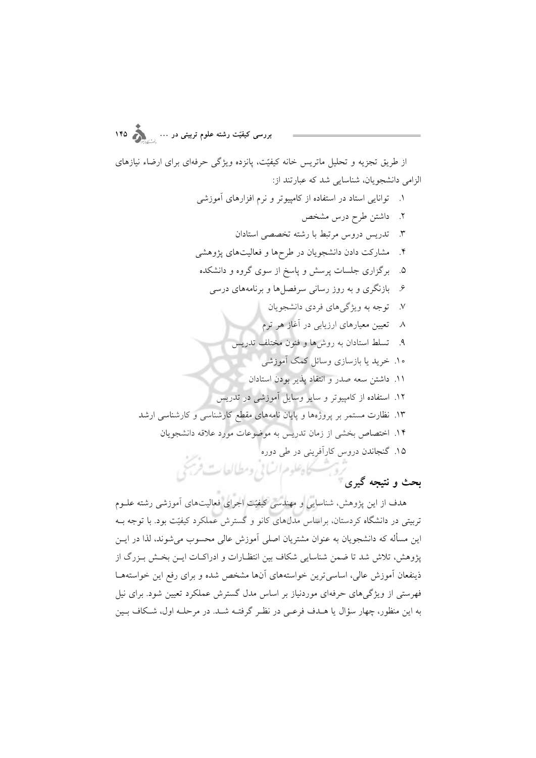بررسی کیفیّت رشته علوم تربیتی در … <sub>وس</sub>ر ۱۴۵

از طریق تجزیه و تحلیل ماتریس خانه کیفیّت، پانزده ویژگی حرفهای برای ارضاء نیازهای الزامی دانشجویان، شناسایی شد که عبارتند از:

هدف از این پژوهش، شناسایی و مهندسی کیفیّت اجرای فعالیتهای آموزشی رشته علــوم تربیتی در دانشگاه کردستان، براساس مدلهای کانو و گسترش عملکرد کیفیّت بود. با توجه بـه این مسأله که دانشجویان به عنوان مشتریان اصلی آموزش عالی محسوب می شوند، لذا در ایــن یژوهش، تلاش شد تا ضمن شناسایی شکاف بین انتظـارات و ادراکـات ایــن بخـش بــزرگ از ذینفعان آموزش عالی، اساسیترین خواستههای آنها مشخص شده و برای رفع این خواستههـا .<br>فهرستی از ویژگیهای حرفهای موردنیاز بر اساس مدل گسترش عملکرد تعیین شود. برای نیل به این منظور، چهار سؤال یا هـدف فرعـی در نظـر گرفتـه شـد. در مرحلـه اول، شـكاف بـین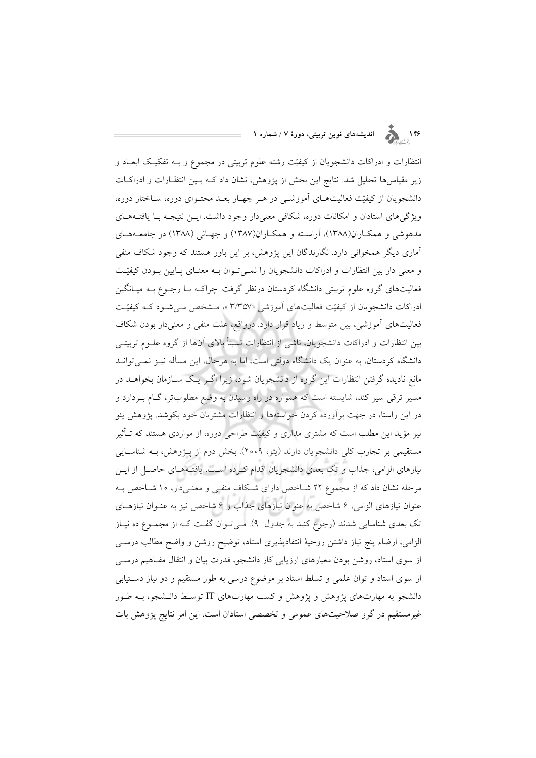## ۱۴۶<br>۱۴۶ ـ اندیشههای نوین تربیتی، دورهٔ ۷ / شماره ۱

انتظارات و ادراکات دانشجویان از کیفیّت رشته علوم تربیتی در مجموع و بـه تفکیک ابعـاد و زیر مقیاسها تحلیل شد. نتایج این بخش از پژوهش، نشان داد کــه بــین انتظــارات و ادراکــات دانشجویان از کیفیّت فعالیتهـای آموزشـی در هـر چهـار بعـد محتـوای دوره، سـاختار دوره، ویژگی های استادان و امکانات دوره، شکافی معنیدار وجود داشت. ایــن نتیجــه بــا یافتــههــای مدهوشی و همکـاران(۱۳۸۸)، آراسـته و همکـاران(۱۳۸۷) و جهـانی (۱۳۸۸) در جامعـههـای آماری دیگر همخوانی دارد. نگارندگان این پژوهش، بر این باور هستند که وجود شکاف منفی و معنی دار بین انتظارات و ادراکات دانشجویان را نمبی تـوان بـه معنـای پـایین بـودن کیفیّـت فعالیتهای گروه علوم تربیتی دانشگاه کردستان درنظر گرفت. چراک با رجـوع بـه میـانگین ادراکات دانشجویان از کیفیّت فعالیتهای آموزشی «۳/۳۵۷ »، مـشخص مـیشـود کـه کیفیّـت فعالیتهای آموزشی، بین متوسط و زیاد قرار دارد. درواقع، علت منفی و معنیدار بودن شکاف بین انتظارات و ادراکات دانشجویان، ناشی از انتظارات نسبتاً بالای آنها از گروه علــوم تربیتــی دانشگاه کردستان، به عنوان یک دانشگاه دولتی است، اما به هرحال، این مسأله نیـز نمـی توانـد مانع نادیده گرفتن انتظارات این گروه از دانشجویان شود، زیرا اگـر یـک ســازمان بخواهــد در مسیر ترقی سیر کند، شایسته است که همواره در راه رسیدن به وضع مطلوبتر، گـام بـردارد و در این راستا، در جهت برآورده کردن خواستهها و انتظارات مشتریان خود بکوشد. پژوهش یئو نیز مؤید این مطلب است که مشتری مداری و کیفیّت طراحی دوره، از مواردی هستند که تـأثیر مستقیمی بر تجارب کلّی دانشجویان دارند (یئو، ۲۰۰۹). بخش دوم از پـژوهش، بـه شناسـایی نیازهای الزامی، جذاب و تک بعدی دانشجویان اقدام کـرده اسـت. یافتـههـای حاصـل از ایـن مرحله نشان داد که از مجموع ۲۲ شـاخص دارای شـکاف منفـی و معنـیدار، ۱۰ شـاخص بـه عنوان نیازهای الزامی، ۶ شاخص به عنوان نیازهای جذاب و ۶ شاخص نیز به عنـوان نیازهـای تک بعدی شناسایی شدند (رجوع کنید به جدول ۹). مـیتوان گفت کـه از مجمـوع ده نیـاز الزامی، ارضاء پنج نیاز داشتن روحیهٔ انتقادپذیری استاد، توضیح روشن و واضح مطالب درســی از سوی استاد، روشن بودن معیارهای ارزیابی کار دانشجو، قدرت بیان و انتقال مفـاهیم درســی از سوی استاد و توان علمی و تسلط استاد بر موضوع درسی به طور مستقیم و دو نیاز دستیابی دانشجو به مهارتهای یژوهش و یژوهش و کسب مهارتهای IT توسط دانـشجو، بـه طـور غیر مستقیم در گرو صلاحیتهای عمومی و تخصصی استادان است. این امر نتایج پژوهش بات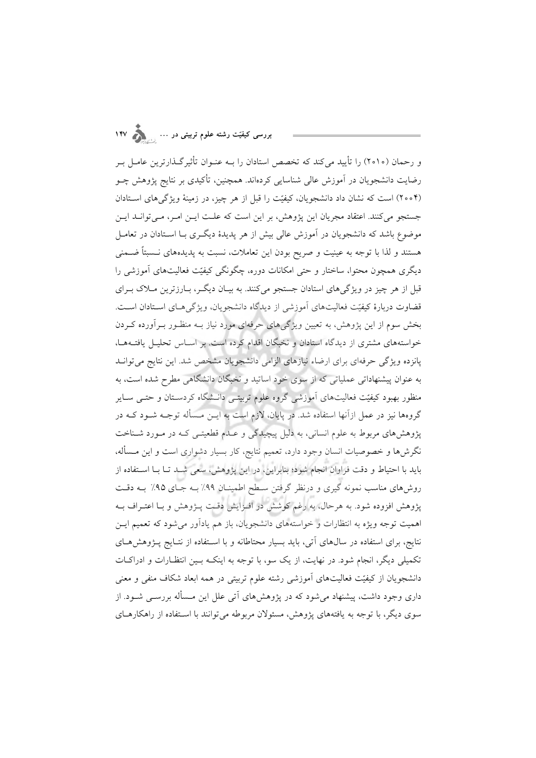و رحمان (٢٥١٥) را تأييد مي كند كه تخصص استادان را بــه عنــوان تأثير گــذارترين عامــل بــر رضایت دانشجویان در آموزش عالی شناسایی کردهاند. همچنین، تأکیدی بر نتایج پژوهش چــو (۲۰۰۴) است که نشان داد دانشجویان، کیفیّت را قبل از هر چیز، در زمینهٔ ویژگی های استادان جستجو میکنند. اعتقاد مجریان این پژوهش، بر این است که علـت ایـن امـر، مـیتوانـد ایـن موضوع باشد که دانشجویان در اَموزش عالی بیش از هر پدیدهٔ دیگـری بــا اســتادان در تعامــل هستند و لذا با توجه به عینیت و صریح بودن این تعاملات، نسبت به پدیدههای نـسبتاً ضـمنی دیگری همچون محتوا، ساختار و حتی امکانات دوره، چگونگی کیفیّت فعالیتهای آموزشی را قبل از هر چیز در ویژگیهای استادان جستجو میکنند. به بیـان دیگـر، بـارزترین مـلاک بـرای قضاوت دربارهٔ کیفیّت فعالیتهای آموزشی از دیدگاه دانشجویان، ویژگیهـای اسـتادان اسـت. بخش سوم از این پژوهش، به تعیین ویژگیهای حرفهای مورد نیاز بـه منظـور بـرآورده کـردن خواستههای مشتری از دیدگاه استادان و نخبگان اقدام کرده است. بر اسـاس تحلیـل یافتـههـا، پانزده ویژگی حرفهای برای ارضاء نیازهای الزامی دانشجویان مشخص شد. این نتایج می توانـد به عنوان پیشنهاداتی عملیاتی که از سوی خود اساتید و نخبگان دانشگاهی مطرح شده است، به منظور بهبود کیفیّت فعالیتهای آموزشی گروه علوم تربیتـی دانـشگاه کردسـتان و حتـی سـایر گروهها نیز در عمل ازآنها استفاده شد. در پایان، لازم است به ایــن مــسأله توجــه شــود کــه در پژوهشهای مربوط به علوم انسانی، به دلیل پیچیدگی و عـدم قطعیتـی کـه در مـورد شـناخت نگرش ها و خصوصیات انسان وجود دارد، تعمیم نتایج، کار بسیار دشواری است و این مـسأله، باید با احتیاط و دقت فراوان انجام شود؛ بنابراین، در این پژوهش، سعی شـد تـا بـا اسـتفاده از روشهای مناسب نمونه گیری و درنظر گرفتن سطح اطمینـان ۹۹٪ بـه جـای ۹۵٪ بـه دقـت پژوهش افزوده شود. به هرحال، به رغم کوشش در افـزایش دقـت پــژوهش و بـا اعتــراف بــه اهمیت توجه ویژه به انتظارات و خواستههای دانشجویان، باز هم یادآور میشود که تعمیم ایـن نتایج، برای استفاده در سال های آتی، باید بسیار محتاطانه و با اسـتفاده از نتـایج پــژوهش هــای تکمیلی دیگر، انجام شود. در نهایت، از یک سو، با توجه به اینکـه بـین انتظـارات و ادراکـات دانشجویان از کیفیّت فعالیتهای آموزشی رشته علوم تربیتی در همه ابعاد شکاف منفی و معنی داری وجود داشت، پیشنهاد می شود که در یژوهش های آتی علل این مـسأله بررسـی شـود. از سوی دیگر، با توجه به یافتههای پژوهش، مسئولان مربوطه می توانند با استفاده از راهکارهـای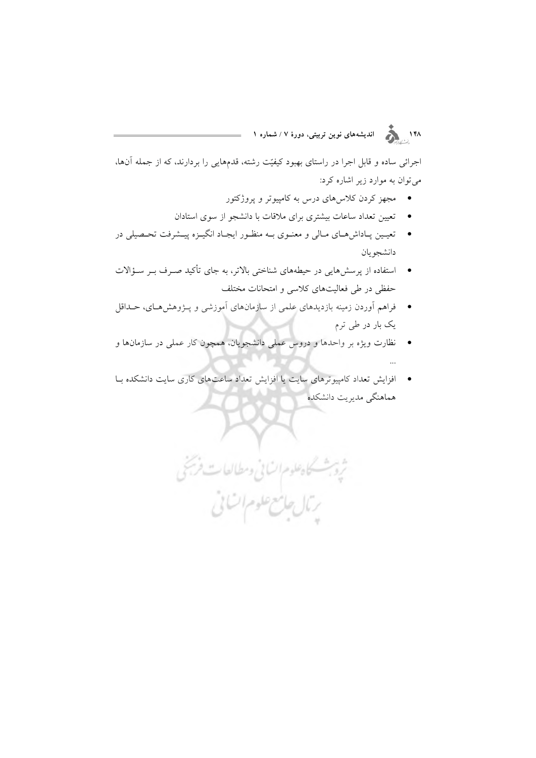۱۴۸<br>۱۴۸ هـ گ

اجرائی ساده و قابل اجرا در راستای بهبود کیفیّت رشته، قدمهایی را بردارند، که از جمله آنها، می توان به موارد زیر اشاره کرد:

- ۔ مجھز کردن کلاس ہای درس به کامپیوتر و یروژکتور
- تعیین تعداد ساعات بیشتری برای ملاقات با دانشجو از سوی استادان  $\bullet$
- تعيـين پـاداشهـاي مـالي و معنـوي بـه منظـور ايجـاد انگيـزه پيـشرفت تحـصيلي در دانشجو يان
- \_ استفاده از پرسشهایی در حیطههای شناختی بالاتر، به جای تأکید صـرف بـر سـؤالات حفظی در طی فعالیتهای کلاسی و امتحانات مختلف
- \_ فراهم اَوردن زمینه بازدیدهای علمی از سازمانهای اَموزشی و پــژوهش۵هـای، حــداقل یک بار در طی ترم
- نظارت ویژه بر واحدها و دروس عملی دانشجویان، همچون کار عملی در سازمانها و
- | افزایش تعداد کامپیوترهای سایت یا افزایش تعداد ساعتهای کاری سایت دانشکده بـا هماهنگی مدیریت دانشکده

ثروبث كاهلوم انساني ومطالعات فريجى

بتال جانع علوم السائي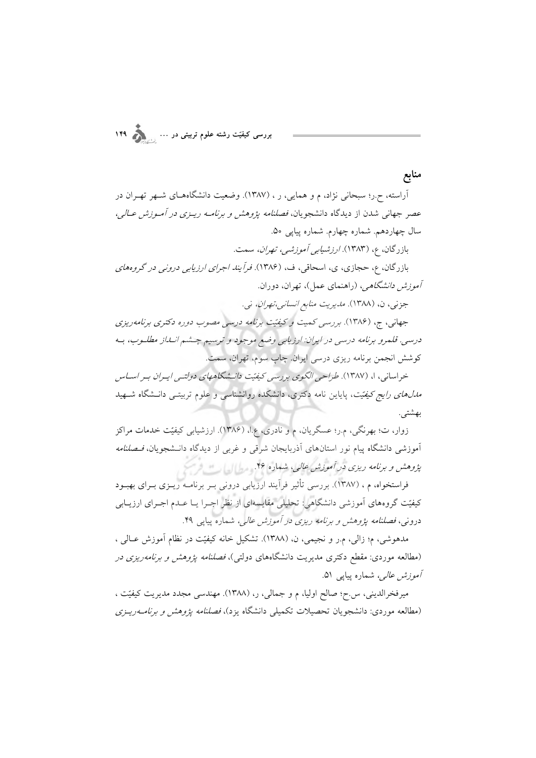منابع آراسته، ح.ر؛ سبحانی نژاد، م و همایی، ر ، (۱۳۸۷). وضعیت دانشگاههـای شـهر تهـران در عصر جهانی شدن از دیدگاه دانشجویان، *فصلنامه پژوهش و برنامـه ریـزی در آمـوزش عـالی*، سال چهاردهم. شماره چهارم. شماره پیاپی ۵۰. بازرگان، ع، (۱۳۸۳). *ارزشیابی آموزشی، تهران،* سمت.

بازرگان، ع، حجازی، ی، اسحاقی، ف، (۱۳۸۶). *فرأیند اجرای ارزیابی درونی در گروههای آموزش دانشگاهی، (راهنمای عمل)، تهران، دوران.* 

جزني، ن، (١٣٨٨). مديريت منابع انساني،تهران، ني.

جهانی، ج، (۱۳۸۶). بررسی کمیت و کیفیّت برنامه درسی مصوب دوره دکتری برنامهریزی درسي. قلمرو برنامه درسي در ايران: ارزيابي وضع موجود و ترسيم چشم انبداز مطلبوب، بـه کوشش انجمن برنامه ریزی درسی ایران. چاپ سوم، تهران، سمت.

خراسانی، ا، (۱۳۸۷). طراحی الگوی بررسی کیفیّت دانـشگاههای دولتـی ایـران بـر اسـاس *مدلهای رایج کیفیّت*، پایاین نامه دکتری، دانشکده روانشناسی و علوم تربیتــی دانــشگاه شــهید بهشتى.

زوار، ت؛ بهرنگی، م.ر؛ عسگریان، م و نادری، ع.ا، (۱۳۸۶). ارزشیابی کیفیّت خدمات مراکز آموزشی دانشگاه پیام نور استانهای آذربایجان شرقی و غربی از دیدگاه دانـشجویان، *فـصلنامه* پژوهش و برنامه ریزی در آموزش عالی، شماره ۴۶. مطالعه

فراستخواه، م ، (۱۳۸۷). بررسی تأثیر فراّیند ارزیابی درونی بـر برنامــه ریــزی بــرای بهبــود کیفیّت گروههای آموزشی دانشگاهی: تحلیلی مقایسهای از نظر اجـرا یـا عـدم اجـرای ارزیـابی درونی، فصلنامه پژوهش و برنامه ریزی در آموزش عالی، شماره پیاپی ۴۹.

مدهوشي، م؛ زالي، م.ر و نجيمي، ن. (١٣٨٨). تشكيل خانه كيفيّت در نظام آموزش عــالي ، (مطالعه موردی: مقطع دکتری مدیریت دانشگاههای دولتی)، *فصلنامه پژوهش و برنامهریزی در آموزش عالی،* شماره پیاپی ۵۱.

میرفخرالدینی، س.ح؛ صالح اولیا، م و جمالی، ر، (۱۳۸۸). مهندسی مجدد مدیریت کیفیّت ، (مطالعه موردی: دانشجویان تحصیلات تکمیلی دانشگاه یزد)، *فصلنامه پژوهش و برنامــهریــزی*